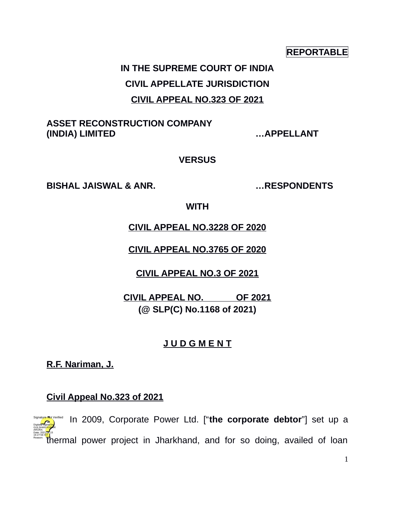#### **REPORTABLE**

# **IN THE SUPREME COURT OF INDIA CIVIL APPELLATE JURISDICTION CIVIL APPEAL NO.323 OF 2021**

### **ASSET RECONSTRUCTION COMPANY (INDIA) LIMITED …APPELLANT**

#### **VERSUS**

**BISHAL JAISWAL & ANR. …RESPONDENTS**

**WITH**

**CIVIL APPEAL NO.3228 OF 2020**

**CIVIL APPEAL NO.3765 OF 2020**

**CIVIL APPEAL NO.3 OF 2021**

**CIVIL APPEAL NO. OF 2021 (@ SLP(C) No.1168 of 2021)**

# **J U D G M E N T**

**R.F. Nariman, J.**

### **Civil Appeal No.323 of 2021**

1. In 2009, Corporate Power Ltd. ["**the corporate debtor**"] set up a thermal power project in Jharkhand, and for so doing, availed of loan Digitally signed by GÜLSHAN <mark>KUM</mark>AR ARORA Date: 2021.04.15 16:27:56 IST Reason: Signature Not Verified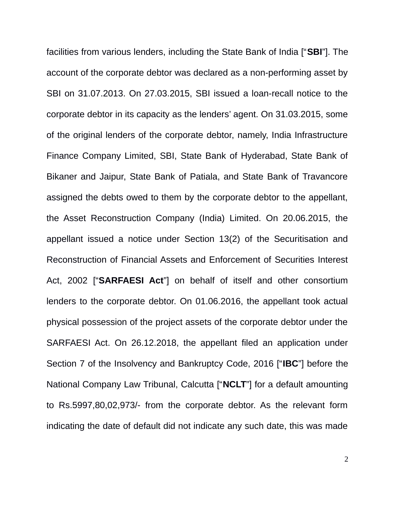facilities from various lenders, including the State Bank of India ["**SBI**"]. The account of the corporate debtor was declared as a non-performing asset by SBI on 31.07.2013. On 27.03.2015, SBI issued a loan-recall notice to the corporate debtor in its capacity as the lenders' agent. On 31.03.2015, some of the original lenders of the corporate debtor, namely, India Infrastructure Finance Company Limited, SBI, State Bank of Hyderabad, State Bank of Bikaner and Jaipur, State Bank of Patiala, and State Bank of Travancore assigned the debts owed to them by the corporate debtor to the appellant, the Asset Reconstruction Company (India) Limited. On 20.06.2015, the appellant issued a notice under Section 13(2) of the Securitisation and Reconstruction of Financial Assets and Enforcement of Securities Interest Act, 2002 ["**SARFAESI Act**"] on behalf of itself and other consortium lenders to the corporate debtor. On 01.06.2016, the appellant took actual physical possession of the project assets of the corporate debtor under the SARFAESI Act. On 26.12.2018, the appellant filed an application under Section 7 of the Insolvency and Bankruptcy Code, 2016 ["**IBC**"] before the National Company Law Tribunal, Calcutta ["**NCLT**"] for a default amounting to Rs.5997,80,02,973/- from the corporate debtor. As the relevant form indicating the date of default did not indicate any such date, this was made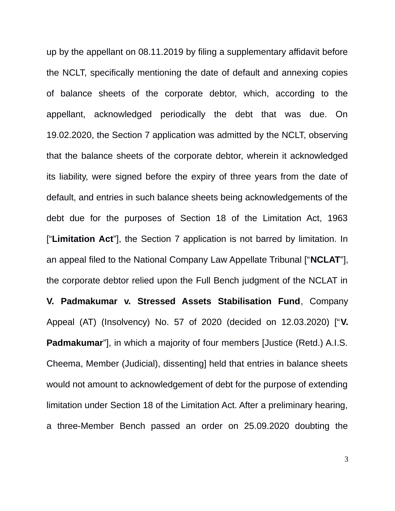up by the appellant on 08.11.2019 by filing a supplementary affidavit before the NCLT, specifically mentioning the date of default and annexing copies of balance sheets of the corporate debtor, which, according to the appellant, acknowledged periodically the debt that was due. On 19.02.2020, the Section 7 application was admitted by the NCLT, observing that the balance sheets of the corporate debtor, wherein it acknowledged its liability, were signed before the expiry of three years from the date of default, and entries in such balance sheets being acknowledgements of the debt due for the purposes of Section 18 of the Limitation Act, 1963 ["**Limitation Act**"], the Section 7 application is not barred by limitation. In an appeal filed to the National Company Law Appellate Tribunal ["**NCLAT**"], the corporate debtor relied upon the Full Bench judgment of the NCLAT in **V. Padmakumar v. Stressed Assets Stabilisation Fund**, Company Appeal (AT) (Insolvency) No. 57 of 2020 (decided on 12.03.2020) ["**V. Padmakumar**"], in which a majority of four members [Justice (Retd.) A.I.S. Cheema, Member (Judicial), dissenting] held that entries in balance sheets would not amount to acknowledgement of debt for the purpose of extending limitation under Section 18 of the Limitation Act. After a preliminary hearing, a three-Member Bench passed an order on 25.09.2020 doubting the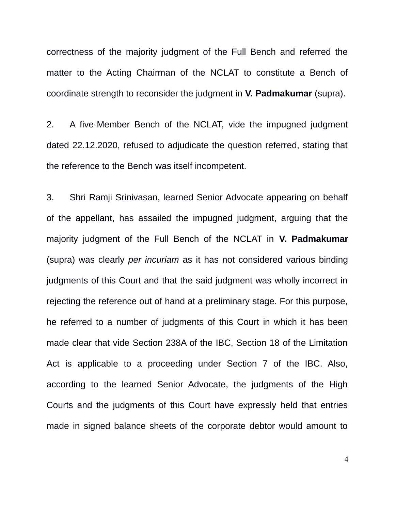correctness of the majority judgment of the Full Bench and referred the matter to the Acting Chairman of the NCLAT to constitute a Bench of coordinate strength to reconsider the judgment in **V. Padmakumar** (supra).

2. A five-Member Bench of the NCLAT, vide the impugned judgment dated 22.12.2020, refused to adjudicate the question referred, stating that the reference to the Bench was itself incompetent.

3. Shri Ramji Srinivasan, learned Senior Advocate appearing on behalf of the appellant, has assailed the impugned judgment, arguing that the majority judgment of the Full Bench of the NCLAT in **V. Padmakumar** (supra) was clearly *per incuriam* as it has not considered various binding judgments of this Court and that the said judgment was wholly incorrect in rejecting the reference out of hand at a preliminary stage. For this purpose, he referred to a number of judgments of this Court in which it has been made clear that vide Section 238A of the IBC, Section 18 of the Limitation Act is applicable to a proceeding under Section 7 of the IBC. Also, according to the learned Senior Advocate, the judgments of the High Courts and the judgments of this Court have expressly held that entries made in signed balance sheets of the corporate debtor would amount to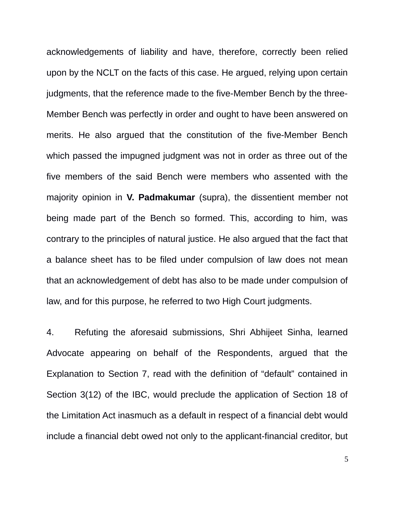acknowledgements of liability and have, therefore, correctly been relied upon by the NCLT on the facts of this case. He argued, relying upon certain judgments, that the reference made to the five-Member Bench by the three-Member Bench was perfectly in order and ought to have been answered on merits. He also argued that the constitution of the five-Member Bench which passed the impugned judgment was not in order as three out of the five members of the said Bench were members who assented with the majority opinion in **V. Padmakumar** (supra), the dissentient member not being made part of the Bench so formed. This, according to him, was contrary to the principles of natural justice. He also argued that the fact that a balance sheet has to be filed under compulsion of law does not mean that an acknowledgement of debt has also to be made under compulsion of law, and for this purpose, he referred to two High Court judgments.

4. Refuting the aforesaid submissions, Shri Abhijeet Sinha, learned Advocate appearing on behalf of the Respondents, argued that the Explanation to Section 7, read with the definition of "default" contained in Section 3(12) of the IBC, would preclude the application of Section 18 of the Limitation Act inasmuch as a default in respect of a financial debt would include a financial debt owed not only to the applicant-financial creditor, but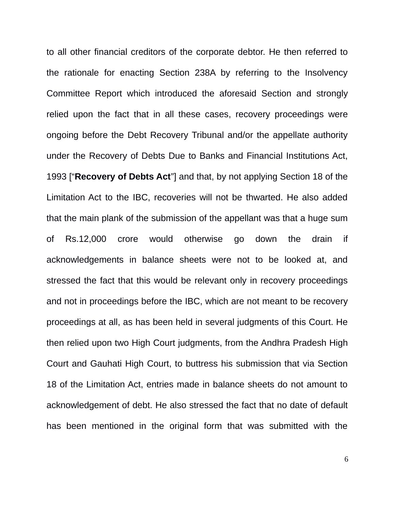to all other financial creditors of the corporate debtor. He then referred to the rationale for enacting Section 238A by referring to the Insolvency Committee Report which introduced the aforesaid Section and strongly relied upon the fact that in all these cases, recovery proceedings were ongoing before the Debt Recovery Tribunal and/or the appellate authority under the Recovery of Debts Due to Banks and Financial Institutions Act, 1993 ["**Recovery of Debts Act**"] and that, by not applying Section 18 of the Limitation Act to the IBC, recoveries will not be thwarted. He also added that the main plank of the submission of the appellant was that a huge sum of Rs.12,000 crore would otherwise go down the drain if acknowledgements in balance sheets were not to be looked at, and stressed the fact that this would be relevant only in recovery proceedings and not in proceedings before the IBC, which are not meant to be recovery proceedings at all, as has been held in several judgments of this Court. He then relied upon two High Court judgments, from the Andhra Pradesh High Court and Gauhati High Court, to buttress his submission that via Section 18 of the Limitation Act, entries made in balance sheets do not amount to acknowledgement of debt. He also stressed the fact that no date of default has been mentioned in the original form that was submitted with the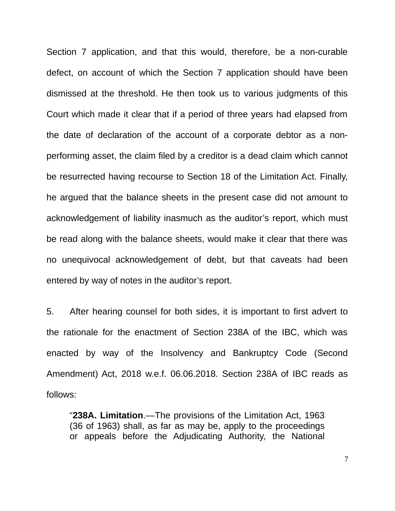Section 7 application, and that this would, therefore, be a non-curable defect, on account of which the Section 7 application should have been dismissed at the threshold. He then took us to various judgments of this Court which made it clear that if a period of three years had elapsed from the date of declaration of the account of a corporate debtor as a nonperforming asset, the claim filed by a creditor is a dead claim which cannot be resurrected having recourse to Section 18 of the Limitation Act. Finally, he argued that the balance sheets in the present case did not amount to acknowledgement of liability inasmuch as the auditor's report, which must be read along with the balance sheets, would make it clear that there was no unequivocal acknowledgement of debt, but that caveats had been entered by way of notes in the auditor's report.

5. After hearing counsel for both sides, it is important to first advert to the rationale for the enactment of Section 238A of the IBC, which was enacted by way of the Insolvency and Bankruptcy Code (Second Amendment) Act, 2018 w.e.f. 06.06.2018. Section 238A of IBC reads as follows:

"**238A. Limitation**.—The provisions of the Limitation Act, 1963 (36 of 1963) shall, as far as may be, apply to the proceedings or appeals before the Adjudicating Authority, the National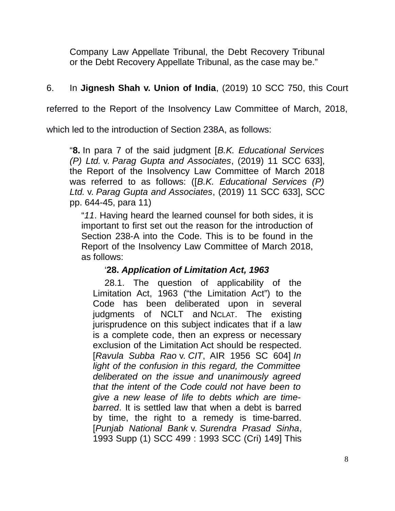Company Law Appellate Tribunal, the Debt Recovery Tribunal or the Debt Recovery Appellate Tribunal, as the case may be."

# 6. In **Jignesh Shah v. Union of India**, (2019) 10 SCC 750, this Court

referred to the Report of the Insolvency Law Committee of March, 2018,

which led to the introduction of Section 238A, as follows:

"**8.** In para 7 of the said judgment [*B.K. Educational Services (P) Ltd.* v. *Parag Gupta and Associates*, (2019) 11 SCC 633], the Report of the Insolvency Law Committee of March 2018 was referred to as follows: ([*B.K. Educational Services (P) Ltd.* v. *Parag Gupta and Associates*, (2019) 11 SCC 633], SCC pp. 644-45, para 11)

"*11*. Having heard the learned counsel for both sides, it is important to first set out the reason for the introduction of Section 238-A into the Code. This is to be found in the Report of the Insolvency Law Committee of March 2018, as follows:

# '**28.** *Application of Limitation Act, 1963*

28.1. The question of applicability of the Limitation Act, 1963 ("the Limitation Act") to the Code has been deliberated upon in several judgments of NCLT and NCLAT. The existing jurisprudence on this subject indicates that if a law is a complete code, then an express or necessary exclusion of the Limitation Act should be respected. [*Ravula Subba Rao* v. *CIT*, AIR 1956 SC 604] *In light of the confusion in this regard, the Committee deliberated on the issue and unanimously agreed that the intent of the Code could not have been to give a new lease of life to debts which are timebarred*. It is settled law that when a debt is barred by time, the right to a remedy is time-barred. [*Punjab National Bank* v. *Surendra Prasad Sinha*, 1993 Supp (1) SCC 499 : 1993 SCC (Cri) 149] This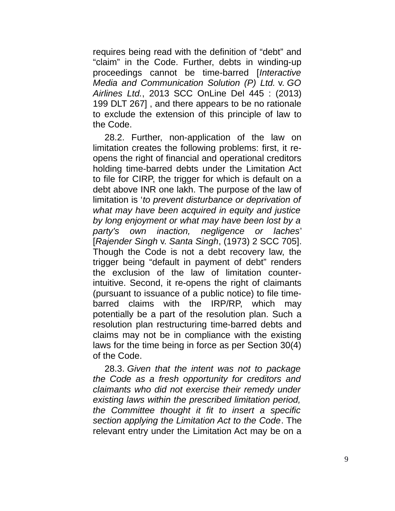requires being read with the definition of "debt" and "claim" in the Code. Further, debts in winding-up proceedings cannot be time-barred [*Interactive Media and Communication Solution (P) Ltd.* v. *GO Airlines Ltd.*, 2013 SCC OnLine Del 445 : (2013) 199 DLT 267] , and there appears to be no rationale to exclude the extension of this principle of law to the Code.

28.2. Further, non-application of the law on limitation creates the following problems: first, it reopens the right of financial and operational creditors holding time-barred debts under the Limitation Act to file for CIRP, the trigger for which is default on a debt above INR one lakh. The purpose of the law of limitation is '*to prevent disturbance or deprivation of what may have been acquired in equity and justice by long enjoyment or what may have been lost by a party's own inaction, negligence or laches*' [*Rajender Singh* v. *Santa Singh*, (1973) 2 SCC 705]. Though the Code is not a debt recovery law, the trigger being "default in payment of debt" renders the exclusion of the law of limitation counterintuitive. Second, it re-opens the right of claimants (pursuant to issuance of a public notice) to file timebarred claims with the IRP/RP, which may potentially be a part of the resolution plan. Such a resolution plan restructuring time-barred debts and claims may not be in compliance with the existing laws for the time being in force as per Section 30(4) of the Code.

28.3. *Given that the intent was not to package the Code as a fresh opportunity for creditors and claimants who did not exercise their remedy under existing laws within the prescribed limitation period, the Committee thought it fit to insert a specific section applying the Limitation Act to the Code*. The relevant entry under the Limitation Act may be on a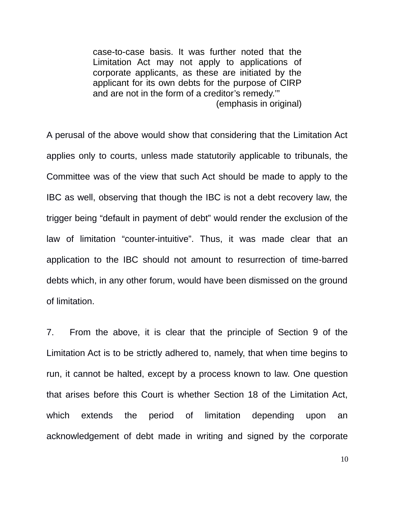case-to-case basis. It was further noted that the Limitation Act may not apply to applications of corporate applicants, as these are initiated by the applicant for its own debts for the purpose of CIRP and are not in the form of a creditor's remedy.'" (emphasis in original)

A perusal of the above would show that considering that the Limitation Act applies only to courts, unless made statutorily applicable to tribunals, the Committee was of the view that such Act should be made to apply to the IBC as well, observing that though the IBC is not a debt recovery law, the trigger being "default in payment of debt" would render the exclusion of the law of limitation "counter-intuitive". Thus, it was made clear that an application to the IBC should not amount to resurrection of time-barred debts which, in any other forum, would have been dismissed on the ground of limitation.

7. From the above, it is clear that the principle of Section 9 of the Limitation Act is to be strictly adhered to, namely, that when time begins to run, it cannot be halted, except by a process known to law. One question that arises before this Court is whether Section 18 of the Limitation Act, which extends the period of limitation depending upon an acknowledgement of debt made in writing and signed by the corporate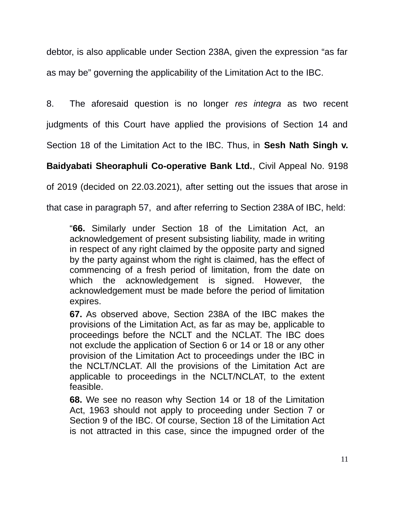debtor, is also applicable under Section 238A, given the expression "as far as may be" governing the applicability of the Limitation Act to the IBC.

8. The aforesaid question is no longer *res integra* as two recent

judgments of this Court have applied the provisions of Section 14 and

Section 18 of the Limitation Act to the IBC. Thus, in **Sesh Nath Singh v.**

**Baidyabati Sheoraphuli Co-operative Bank Ltd.**, Civil Appeal No. 9198

of 2019 (decided on 22.03.2021), after setting out the issues that arose in

that case in paragraph 57, and after referring to Section 238A of IBC, held:

"**66.** Similarly under Section 18 of the Limitation Act, an acknowledgement of present subsisting liability, made in writing in respect of any right claimed by the opposite party and signed by the party against whom the right is claimed, has the effect of commencing of a fresh period of limitation, from the date on which the acknowledgement is signed. However, the acknowledgement must be made before the period of limitation expires.

**67.** As observed above, Section 238A of the IBC makes the provisions of the Limitation Act, as far as may be, applicable to proceedings before the NCLT and the NCLAT. The IBC does not exclude the application of Section 6 or 14 or 18 or any other provision of the Limitation Act to proceedings under the IBC in the NCLT/NCLAT. All the provisions of the Limitation Act are applicable to proceedings in the NCLT/NCLAT, to the extent feasible.

**68.** We see no reason why Section 14 or 18 of the Limitation Act, 1963 should not apply to proceeding under Section 7 or Section 9 of the IBC. Of course, Section 18 of the Limitation Act is not attracted in this case, since the impugned order of the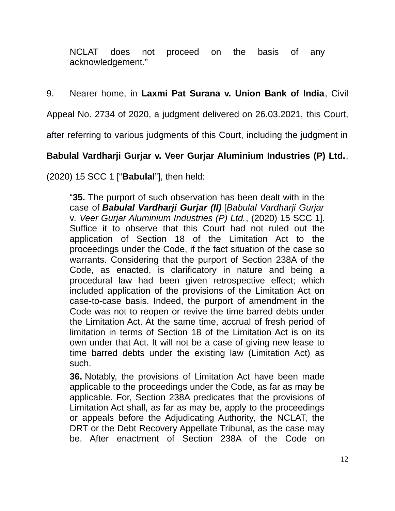NCLAT does not proceed on the basis of any acknowledgement."

# 9. Nearer home, in **Laxmi Pat Surana v. Union Bank of India**, Civil

Appeal No. 2734 of 2020, a judgment delivered on 26.03.2021, this Court,

after referring to various judgments of this Court, including the judgment in

# **Babulal Vardharji Gurjar v. Veer Gurjar Aluminium Industries (P) Ltd.**,

(2020) 15 SCC 1 ["**Babulal**"], then held:

"**35.** The purport of such observation has been dealt with in the case of *Babulal Vardharji Gurjar (II)* [*Babulal Vardharji Gurjar* v*. Veer Gurjar Aluminium Industries (P) Ltd.*, (2020) 15 SCC 1]. Suffice it to observe that this Court had not ruled out the application of Section 18 of the Limitation Act to the proceedings under the Code, if the fact situation of the case so warrants. Considering that the purport of Section 238A of the Code, as enacted, is clarificatory in nature and being a procedural law had been given retrospective effect; which included application of the provisions of the Limitation Act on case-to-case basis. Indeed, the purport of amendment in the Code was not to reopen or revive the time barred debts under the Limitation Act. At the same time, accrual of fresh period of limitation in terms of Section 18 of the Limitation Act is on its own under that Act. It will not be a case of giving new lease to time barred debts under the existing law (Limitation Act) as such.

**36.** Notably, the provisions of Limitation Act have been made applicable to the proceedings under the Code, as far as may be applicable. For, Section 238A predicates that the provisions of Limitation Act shall, as far as may be, apply to the proceedings or appeals before the Adjudicating Authority, the NCLAT, the DRT or the Debt Recovery Appellate Tribunal, as the case may be. After enactment of Section 238A of the Code on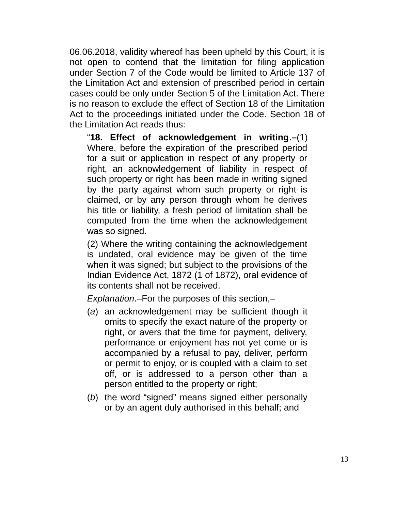06.06.2018, validity whereof has been upheld by this Court, it is not open to contend that the limitation for filing application under Section 7 of the Code would be limited to Article 137 of the Limitation Act and extension of prescribed period in certain cases could be only under Section 5 of the Limitation Act. There is no reason to exclude the effect of Section 18 of the Limitation Act to the proceedings initiated under the Code. Section 18 of the Limitation Act reads thus:

"**18. Effect of acknowledgement in writing**.**–**(1) Where, before the expiration of the prescribed period for a suit or application in respect of any property or right, an acknowledgement of liability in respect of such property or right has been made in writing signed by the party against whom such property or right is claimed, or by any person through whom he derives his title or liability, a fresh period of limitation shall be computed from the time when the acknowledgement was so signed.

(2) Where the writing containing the acknowledgement is undated, oral evidence may be given of the time when it was signed; but subject to the provisions of the Indian Evidence Act, 1872 (1 of 1872), oral evidence of its contents shall not be received.

*Explanation*.–For the purposes of this section,–

- (*a*) an acknowledgement may be sufficient though it omits to specify the exact nature of the property or right, or avers that the time for payment, delivery, performance or enjoyment has not yet come or is accompanied by a refusal to pay, deliver, perform or permit to enjoy, or is coupled with a claim to set off, or is addressed to a person other than a person entitled to the property or right;
- (*b*) the word "signed" means signed either personally or by an agent duly authorised in this behalf; and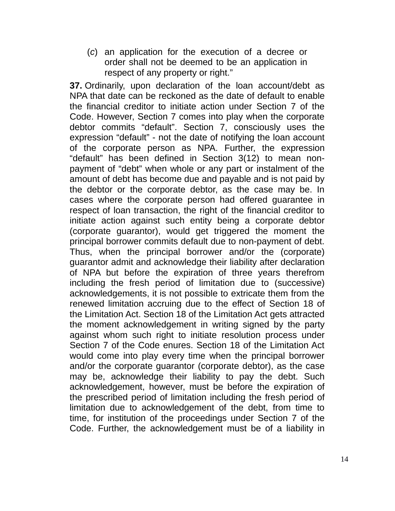(*c*) an application for the execution of a decree or order shall not be deemed to be an application in respect of any property or right."

**37.** Ordinarily, upon declaration of the loan account/debt as NPA that date can be reckoned as the date of default to enable the financial creditor to initiate action under Section 7 of the Code. However, Section 7 comes into play when the corporate debtor commits "default". Section 7, consciously uses the expression "default" - not the date of notifying the loan account of the corporate person as NPA. Further, the expression "default" has been defined in Section 3(12) to mean nonpayment of "debt" when whole or any part or instalment of the amount of debt has become due and payable and is not paid by the debtor or the corporate debtor, as the case may be. In cases where the corporate person had offered guarantee in respect of loan transaction, the right of the financial creditor to initiate action against such entity being a corporate debtor (corporate guarantor), would get triggered the moment the principal borrower commits default due to non-payment of debt. Thus, when the principal borrower and/or the (corporate) guarantor admit and acknowledge their liability after declaration of NPA but before the expiration of three years therefrom including the fresh period of limitation due to (successive) acknowledgements, it is not possible to extricate them from the renewed limitation accruing due to the effect of Section 18 of the Limitation Act. Section 18 of the Limitation Act gets attracted the moment acknowledgement in writing signed by the party against whom such right to initiate resolution process under Section 7 of the Code enures. Section 18 of the Limitation Act would come into play every time when the principal borrower and/or the corporate guarantor (corporate debtor), as the case may be, acknowledge their liability to pay the debt. Such acknowledgement, however, must be before the expiration of the prescribed period of limitation including the fresh period of limitation due to acknowledgement of the debt, from time to time, for institution of the proceedings under Section 7 of the Code. Further, the acknowledgement must be of a liability in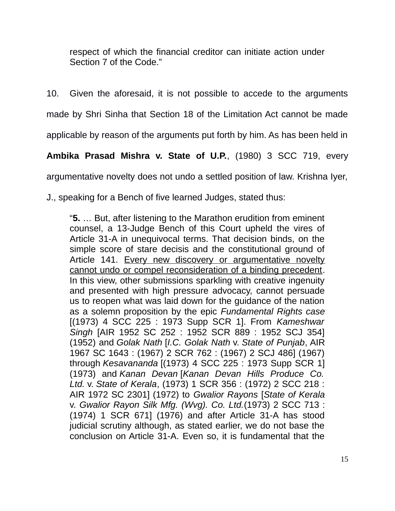respect of which the financial creditor can initiate action under Section 7 of the Code."

10. Given the aforesaid, it is not possible to accede to the arguments made by Shri Sinha that Section 18 of the Limitation Act cannot be made

applicable by reason of the arguments put forth by him. As has been held in

**Ambika Prasad Mishra v. State of U.P.**, (1980) 3 SCC 719, every

argumentative novelty does not undo a settled position of law. Krishna Iyer,

J., speaking for a Bench of five learned Judges, stated thus:

"**5.** … But, after listening to the Marathon erudition from eminent counsel, a 13-Judge Bench of this Court upheld the vires of Article 31-A in unequivocal terms. That decision binds, on the simple score of stare decisis and the constitutional ground of Article 141. Every new discovery or argumentative novelty cannot undo or compel reconsideration of a binding precedent. In this view, other submissions sparkling with creative ingenuity and presented with high pressure advocacy, cannot persuade us to reopen what was laid down for the guidance of the nation as a solemn proposition by the epic *Fundamental Rights case* [(1973) 4 SCC 225 : 1973 Supp SCR 1]. From *Kameshwar Singh* [AIR 1952 SC 252 : 1952 SCR 889 : 1952 SCJ 354] (1952) and *Golak Nath* [*I.C. Golak Nath* v. *State of Punjab*, AIR 1967 SC 1643 : (1967) 2 SCR 762 : (1967) 2 SCJ 486] (1967) through *Kesavananda* [(1973) 4 SCC 225 : 1973 Supp SCR 1] (1973) and *Kanan Devan* [*Kanan Devan Hills Produce Co. Ltd.* v. *State of Kerala*, (1973) 1 SCR 356 : (1972) 2 SCC 218 : AIR 1972 SC 2301] (1972) to *Gwalior Rayons* [*State of Kerala* v. *Gwalior Rayon Silk Mfg. (Wvg). Co. Ltd.*(1973) 2 SCC 713 : (1974) 1 SCR 671] (1976) and after Article 31-A has stood judicial scrutiny although, as stated earlier, we do not base the conclusion on Article 31-A. Even so, it is fundamental that the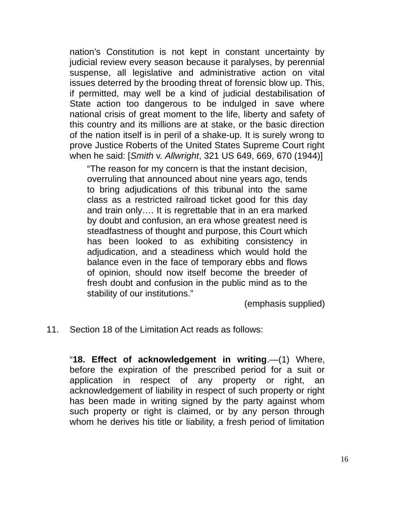nation's Constitution is not kept in constant uncertainty by judicial review every season because it paralyses, by perennial suspense, all legislative and administrative action on vital issues deterred by the brooding threat of forensic blow up. This, if permitted, may well be a kind of judicial destabilisation of State action too dangerous to be indulged in save where national crisis of great moment to the life, liberty and safety of this country and its millions are at stake, or the basic direction of the nation itself is in peril of a shake-up. It is surely wrong to prove Justice Roberts of the United States Supreme Court right when he said: [*Smith* v. *Allwright*, 321 US 649, 669, 670 (1944)]

"The reason for my concern is that the instant decision, overruling that announced about nine years ago, tends to bring adjudications of this tribunal into the same class as a restricted railroad ticket good for this day and train only…. It is regrettable that in an era marked by doubt and confusion, an era whose greatest need is steadfastness of thought and purpose, this Court which has been looked to as exhibiting consistency in adjudication, and a steadiness which would hold the balance even in the face of temporary ebbs and flows of opinion, should now itself become the breeder of fresh doubt and confusion in the public mind as to the stability of our institutions."

(emphasis supplied)

11. Section 18 of the Limitation Act reads as follows:

"**18. Effect of acknowledgement in writing**.—(1) Where, before the expiration of the prescribed period for a suit or application in respect of any property or right, an acknowledgement of liability in respect of such property or right has been made in writing signed by the party against whom such property or right is claimed, or by any person through whom he derives his title or liability, a fresh period of limitation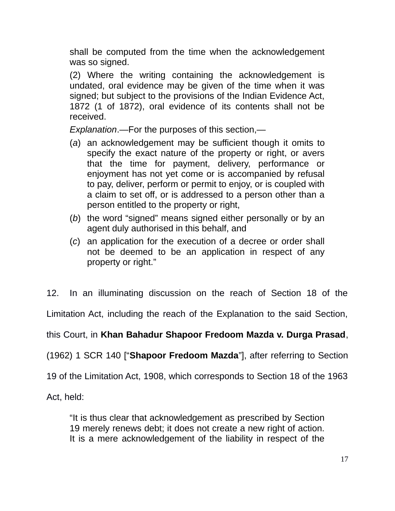shall be computed from the time when the acknowledgement was so signed.

(2) Where the writing containing the acknowledgement is undated, oral evidence may be given of the time when it was signed; but subject to the provisions of the Indian Evidence Act, 1872 (1 of 1872), oral evidence of its contents shall not be received.

*Explanation*.—For the purposes of this section,—

- (*a*) an acknowledgement may be sufficient though it omits to specify the exact nature of the property or right, or avers that the time for payment, delivery, performance or enjoyment has not yet come or is accompanied by refusal to pay, deliver, perform or permit to enjoy, or is coupled with a claim to set off, or is addressed to a person other than a person entitled to the property or right,
- (*b*) the word "signed" means signed either personally or by an agent duly authorised in this behalf, and
- (*c*) an application for the execution of a decree or order shall not be deemed to be an application in respect of any property or right."

12. In an illuminating discussion on the reach of Section 18 of the

Limitation Act, including the reach of the Explanation to the said Section,

this Court, in **Khan Bahadur Shapoor Fredoom Mazda v. Durga Prasad**,

(1962) 1 SCR 140 ["**Shapoor Fredoom Mazda**"], after referring to Section

19 of the Limitation Act, 1908, which corresponds to Section 18 of the 1963

Act, held:

"It is thus clear that acknowledgement as prescribed by Section 19 merely renews debt; it does not create a new right of action. It is a mere acknowledgement of the liability in respect of the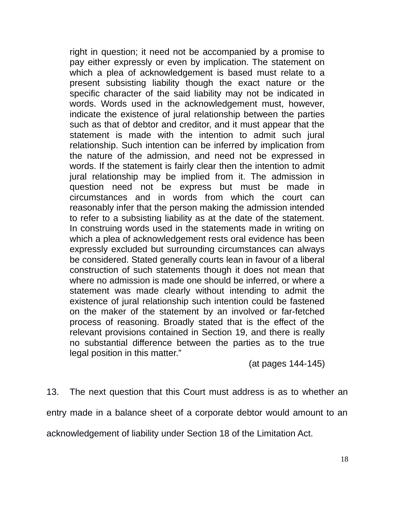right in question; it need not be accompanied by a promise to pay either expressly or even by implication. The statement on which a plea of acknowledgement is based must relate to a present subsisting liability though the exact nature or the specific character of the said liability may not be indicated in words. Words used in the acknowledgement must, however, indicate the existence of jural relationship between the parties such as that of debtor and creditor, and it must appear that the statement is made with the intention to admit such jural relationship. Such intention can be inferred by implication from the nature of the admission, and need not be expressed in words. If the statement is fairly clear then the intention to admit jural relationship may be implied from it. The admission in question need not be express but must be made in circumstances and in words from which the court can reasonably infer that the person making the admission intended to refer to a subsisting liability as at the date of the statement. In construing words used in the statements made in writing on which a plea of acknowledgement rests oral evidence has been expressly excluded but surrounding circumstances can always be considered. Stated generally courts lean in favour of a liberal construction of such statements though it does not mean that where no admission is made one should be inferred, or where a statement was made clearly without intending to admit the existence of jural relationship such intention could be fastened on the maker of the statement by an involved or far-fetched process of reasoning. Broadly stated that is the effect of the relevant provisions contained in Section 19, and there is really no substantial difference between the parties as to the true legal position in this matter."

(at pages 144-145)

13. The next question that this Court must address is as to whether an entry made in a balance sheet of a corporate debtor would amount to an acknowledgement of liability under Section 18 of the Limitation Act.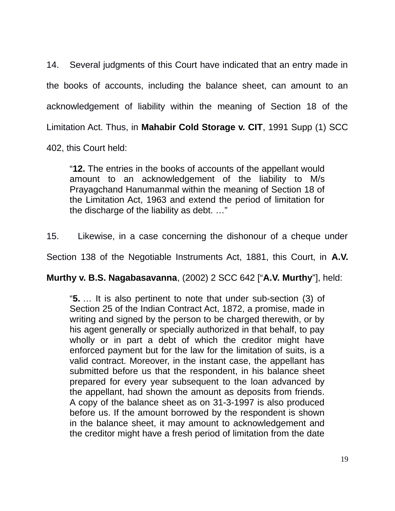14. Several judgments of this Court have indicated that an entry made in the books of accounts, including the balance sheet, can amount to an acknowledgement of liability within the meaning of Section 18 of the Limitation Act. Thus, in **Mahabir Cold Storage v. CIT**, 1991 Supp (1) SCC 402, this Court held:

"**12.** The entries in the books of accounts of the appellant would amount to an acknowledgement of the liability to M/s Prayagchand Hanumanmal within the meaning of Section 18 of the Limitation Act, 1963 and extend the period of limitation for the discharge of the liability as debt. …"

15. Likewise, in a case concerning the dishonour of a cheque under

Section 138 of the Negotiable Instruments Act, 1881, this Court, in **A.V.**

**Murthy v. B.S. Nagabasavanna**, (2002) 2 SCC 642 ["**A.V. Murthy**"], held:

"**5.** … It is also pertinent to note that under sub-section (3) of Section 25 of the Indian Contract Act, 1872, a promise, made in writing and signed by the person to be charged therewith, or by his agent generally or specially authorized in that behalf, to pay wholly or in part a debt of which the creditor might have enforced payment but for the law for the limitation of suits, is a valid contract. Moreover, in the instant case, the appellant has submitted before us that the respondent, in his balance sheet prepared for every year subsequent to the loan advanced by the appellant, had shown the amount as deposits from friends. A copy of the balance sheet as on 31-3-1997 is also produced before us. If the amount borrowed by the respondent is shown in the balance sheet, it may amount to acknowledgement and the creditor might have a fresh period of limitation from the date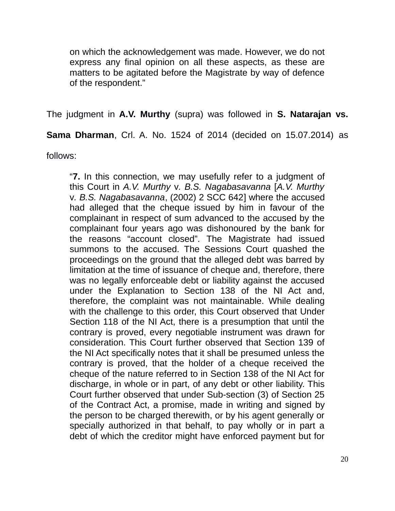on which the acknowledgement was made. However, we do not express any final opinion on all these aspects, as these are matters to be agitated before the Magistrate by way of defence of the respondent."

The judgment in **A.V. Murthy** (supra) was followed in **S. Natarajan vs.**

**Sama Dharman**, Crl. A. No. 1524 of 2014 (decided on 15.07.2014) as

follows:

"**7.** In this connection, we may usefully refer to a judgment of this Court in *A.V. Murthy* v*. B.S. Nagabasavanna* [*A.V. Murthy* v*. B.S. Nagabasavanna*, (2002) 2 SCC 642] where the accused had alleged that the cheque issued by him in favour of the complainant in respect of sum advanced to the accused by the complainant four years ago was dishonoured by the bank for the reasons "account closed". The Magistrate had issued summons to the accused. The Sessions Court quashed the proceedings on the ground that the alleged debt was barred by limitation at the time of issuance of cheque and, therefore, there was no legally enforceable debt or liability against the accused under the Explanation to Section 138 of the NI Act and, therefore, the complaint was not maintainable. While dealing with the challenge to this order, this Court observed that Under Section 118 of the NI Act, there is a presumption that until the contrary is proved, every negotiable instrument was drawn for consideration. This Court further observed that Section 139 of the NI Act specifically notes that it shall be presumed unless the contrary is proved, that the holder of a cheque received the cheque of the nature referred to in Section 138 of the NI Act for discharge, in whole or in part, of any debt or other liability. This Court further observed that under Sub-section (3) of Section 25 of the Contract Act, a promise, made in writing and signed by the person to be charged therewith, or by his agent generally or specially authorized in that behalf, to pay wholly or in part a debt of which the creditor might have enforced payment but for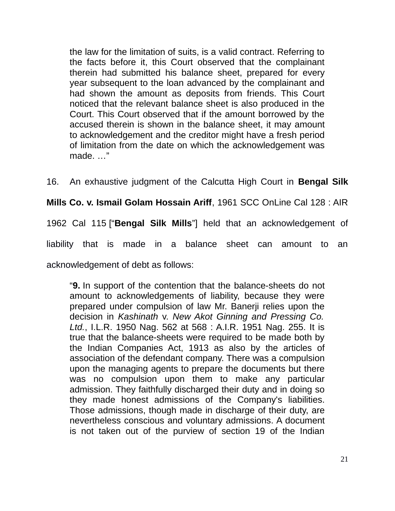the law for the limitation of suits, is a valid contract. Referring to the facts before it, this Court observed that the complainant therein had submitted his balance sheet, prepared for every year subsequent to the loan advanced by the complainant and had shown the amount as deposits from friends. This Court noticed that the relevant balance sheet is also produced in the Court. This Court observed that if the amount borrowed by the accused therein is shown in the balance sheet, it may amount to acknowledgement and the creditor might have a fresh period of limitation from the date on which the acknowledgement was made. …"

16. An exhaustive judgment of the Calcutta High Court in **Bengal Silk**

**Mills Co. v. Ismail Golam Hossain Ariff**, 1961 SCC OnLine Cal 128 : AIR

1962 Cal 115 ["**Bengal Silk Mills**"] held that an acknowledgement of

liability that is made in a balance sheet can amount to an

acknowledgement of debt as follows:

"**9.** In support of the contention that the balance-sheets do not amount to acknowledgements of liability, because they were prepared under compulsion of law Mr. Banerji relies upon the decision in *Kashinath* v. *New Akot Ginning and Pressing Co. Ltd.*, I.L.R. 1950 Nag. 562 at 568 : A.I.R. 1951 Nag. 255. It is true that the balance-sheets were required to be made both by the Indian Companies Act, 1913 as also by the articles of association of the defendant company. There was a compulsion upon the managing agents to prepare the documents but there was no compulsion upon them to make any particular admission. They faithfully discharged their duty and in doing so they made honest admissions of the Company's liabilities. Those admissions, though made in discharge of their duty, are nevertheless conscious and voluntary admissions. A document is not taken out of the purview of section 19 of the Indian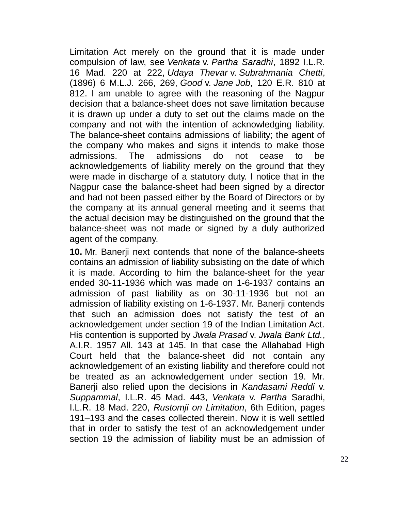Limitation Act merely on the ground that it is made under compulsion of law, see *Venkata* v. *Partha Saradhi*, 1892 I.L.R. 16 Mad. 220 at 222, *Udaya Thevar* v. *Subrahmania Chetti*, (1896) 6 M.L.J. 266, 269, *Good* v. *Jane Job*, 120 E.R. 810 at 812. I am unable to agree with the reasoning of the Nagpur decision that a balance-sheet does not save limitation because it is drawn up under a duty to set out the claims made on the company and not with the intention of acknowledging liability. The balance-sheet contains admissions of liability; the agent of the company who makes and signs it intends to make those admissions. The admissions do not cease to be acknowledgements of liability merely on the ground that they were made in discharge of a statutory duty. I notice that in the Nagpur case the balance-sheet had been signed by a director and had not been passed either by the Board of Directors or by the company at its annual general meeting and it seems that the actual decision may be distinguished on the ground that the balance-sheet was not made or signed by a duly authorized agent of the company.

**10.** Mr. Banerji next contends that none of the balance-sheets contains an admission of liability subsisting on the date of which it is made. According to him the balance-sheet for the year ended 30-11-1936 which was made on 1-6-1937 contains an admission of past liability as on 30-11-1936 but not an admission of liability existing on 1-6-1937. Mr. Banerji contends that such an admission does not satisfy the test of an acknowledgement under section 19 of the Indian Limitation Act. His contention is supported by *Jwala Prasad* v. *Jwala Bank Ltd.*, A.I.R. 1957 All. 143 at 145. In that case the Allahabad High Court held that the balance-sheet did not contain any acknowledgement of an existing liability and therefore could not be treated as an acknowledgement under section 19. Mr. Banerji also relied upon the decisions in *Kandasami Reddi* v. *Suppammal*, I.L.R. 45 Mad. 443, *Venkata* v. *Partha* Saradhi, I.L.R. 18 Mad. 220, *Rustomji on Limitation*, 6th Edition, pages 191–193 and the cases collected therein. Now it is well settled that in order to satisfy the test of an acknowledgement under section 19 the admission of liability must be an admission of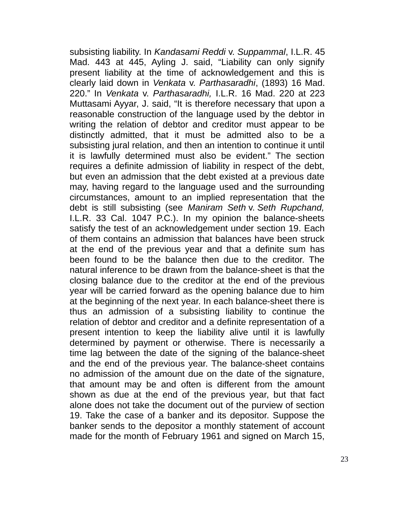subsisting liability. In *Kandasami Reddi* v. *Suppammal*, I.L.R. 45 Mad. 443 at 445, Ayling J. said, "Liability can only signify present liability at the time of acknowledgement and this is clearly laid down in *Venkata* v. *Parthasaradhi*, (1893) 16 Mad. 220." In *Venkata* v. *Parthasaradhi,* I.L.R. 16 Mad. 220 at 223 Muttasami Ayyar, J. said, "It is therefore necessary that upon a reasonable construction of the language used by the debtor in writing the relation of debtor and creditor must appear to be distinctly admitted, that it must be admitted also to be a subsisting jural relation, and then an intention to continue it until it is lawfully determined must also be evident." The section requires a definite admission of liability in respect of the debt, but even an admission that the debt existed at a previous date may, having regard to the language used and the surrounding circumstances, amount to an implied representation that the debt is still subsisting (see *Maniram Seth* v. *Seth Rupchand,* I.L.R. 33 Cal. 1047 P.C.). In my opinion the balance-sheets satisfy the test of an acknowledgement under section 19. Each of them contains an admission that balances have been struck at the end of the previous year and that a definite sum has been found to be the balance then due to the creditor. The natural inference to be drawn from the balance-sheet is that the closing balance due to the creditor at the end of the previous year will be carried forward as the opening balance due to him at the beginning of the next year. In each balance-sheet there is thus an admission of a subsisting liability to continue the relation of debtor and creditor and a definite representation of a present intention to keep the liability alive until it is lawfully determined by payment or otherwise. There is necessarily a time lag between the date of the signing of the balance-sheet and the end of the previous year. The balance-sheet contains no admission of the amount due on the date of the signature, that amount may be and often is different from the amount shown as due at the end of the previous year, but that fact alone does not take the document out of the purview of section 19. Take the case of a banker and its depositor. Suppose the banker sends to the depositor a monthly statement of account made for the month of February 1961 and signed on March 15,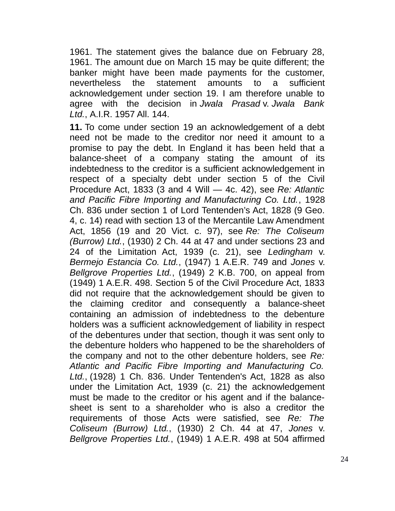1961. The statement gives the balance due on February 28, 1961. The amount due on March 15 may be quite different; the banker might have been made payments for the customer, nevertheless the statement amounts to a sufficient acknowledgement under section 19. I am therefore unable to agree with the decision in *Jwala Prasad* v. *Jwala Bank Ltd.*, A.I.R. 1957 All. 144.

**11.** To come under section 19 an acknowledgement of a debt need not be made to the creditor nor need it amount to a promise to pay the debt. In England it has been held that a balance-sheet of a company stating the amount of its indebtedness to the creditor is a sufficient acknowledgement in respect of a specialty debt under section 5 of the Civil Procedure Act, 1833 (3 and 4 Will — 4c. 42), see *Re: Atlantic and Pacific Fibre Importing and Manufacturing Co. Ltd.*, 1928 Ch. 836 under section 1 of Lord Tentenden's Act, 1828 (9 Geo. 4, c. 14) read with section 13 of the Mercantile Law Amendment Act, 1856 (19 and 20 Vict. c. 97), see *Re: The Coliseum (Burrow) Ltd.*, (1930) 2 Ch. 44 at 47 and under sections 23 and 24 of the Limitation Act, 1939 (c. 21), see *Ledingham* v. *Bermejo Estancia Co. Ltd.*, (1947) 1 A.E.R. 749 and *Jones* v. *Bellgrove Properties Ltd.*, (1949) 2 K.B. 700, on appeal from (1949) 1 A.E.R. 498. Section 5 of the Civil Procedure Act, 1833 did not require that the acknowledgement should be given to the claiming creditor and consequently a balance-sheet containing an admission of indebtedness to the debenture holders was a sufficient acknowledgement of liability in respect of the debentures under that section, though it was sent only to the debenture holders who happened to be the shareholders of the company and not to the other debenture holders, see *Re: Atlantic and Pacific Fibre Importing and Manufacturing Co. Ltd.*, (1928) 1 Ch. 836. Under Tentenden's Act, 1828 as also under the Limitation Act, 1939 (c. 21) the acknowledgement must be made to the creditor or his agent and if the balancesheet is sent to a shareholder who is also a creditor the requirements of those Acts were satisfied, see *Re: The Coliseum (Burrow) Ltd.*, (1930) 2 Ch. 44 at 47, *Jones* v. *Bellgrove Properties Ltd.*, (1949) 1 A.E.R. 498 at 504 affirmed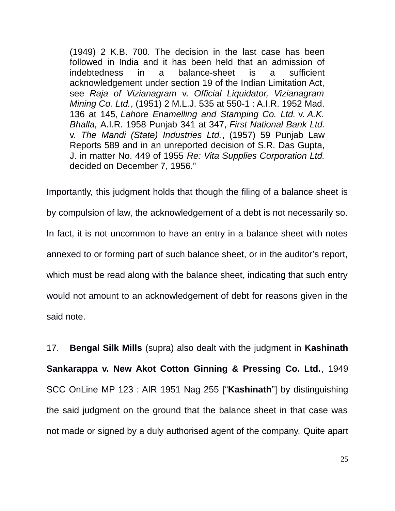(1949) 2 K.B. 700. The decision in the last case has been followed in India and it has been held that an admission of indebtedness in a balance-sheet is a sufficient acknowledgement under section 19 of the Indian Limitation Act, see *Raja of Vizianagram* v. *Official Liquidator, Vizianagram Mining Co. Ltd.*, (1951) 2 M.L.J. 535 at 550-1 : A.I.R. 1952 Mad. 136 at 145, *Lahore Enamelling and Stamping Co. Ltd.* v. *A.K. Bhalla,* A.I.R. 1958 Punjab 341 at 347, *First National Bank Ltd.* v. *The Mandi (State) Industries Ltd.*, (1957) 59 Punjab Law Reports 589 and in an unreported decision of S.R. Das Gupta, J. in matter No. 449 of 1955 *Re: Vita Supplies Corporation Ltd.* decided on December 7, 1956."

Importantly, this judgment holds that though the filing of a balance sheet is by compulsion of law, the acknowledgement of a debt is not necessarily so. In fact, it is not uncommon to have an entry in a balance sheet with notes annexed to or forming part of such balance sheet, or in the auditor's report, which must be read along with the balance sheet, indicating that such entry would not amount to an acknowledgement of debt for reasons given in the said note.

17. **Bengal Silk Mills** (supra) also dealt with the judgment in **Kashinath Sankarappa v. New Akot Cotton Ginning & Pressing Co. Ltd.**, 1949 SCC OnLine MP 123 : AIR 1951 Nag 255 ["**Kashinath**"] by distinguishing the said judgment on the ground that the balance sheet in that case was not made or signed by a duly authorised agent of the company. Quite apart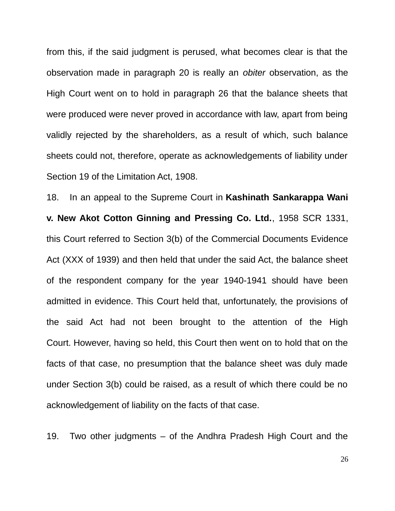from this, if the said judgment is perused, what becomes clear is that the observation made in paragraph 20 is really an *obiter* observation, as the High Court went on to hold in paragraph 26 that the balance sheets that were produced were never proved in accordance with law, apart from being validly rejected by the shareholders, as a result of which, such balance sheets could not, therefore, operate as acknowledgements of liability under Section 19 of the Limitation Act, 1908.

18. In an appeal to the Supreme Court in **Kashinath Sankarappa Wani v. New Akot Cotton Ginning and Pressing Co. Ltd.**, 1958 SCR 1331, this Court referred to Section 3(b) of the Commercial Documents Evidence Act (XXX of 1939) and then held that under the said Act, the balance sheet of the respondent company for the year 1940-1941 should have been admitted in evidence. This Court held that, unfortunately, the provisions of the said Act had not been brought to the attention of the High Court. However, having so held, this Court then went on to hold that on the facts of that case, no presumption that the balance sheet was duly made under Section 3(b) could be raised, as a result of which there could be no acknowledgement of liability on the facts of that case.

19. Two other judgments – of the Andhra Pradesh High Court and the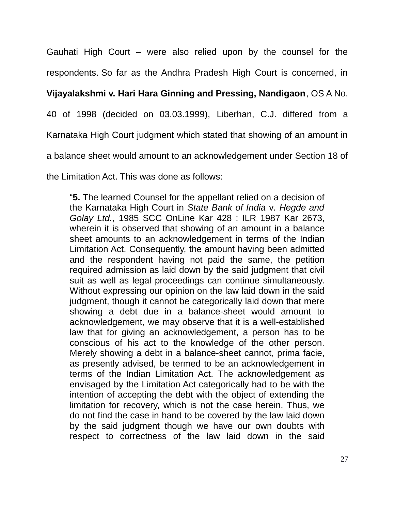Gauhati High Court – were also relied upon by the counsel for the respondents. So far as the Andhra Pradesh High Court is concerned, in

### **Vijayalakshmi v. Hari Hara Ginning and Pressing, Nandigaon**, OS A No.

40 of 1998 (decided on 03.03.1999), Liberhan, C.J. differed from a

Karnataka High Court judgment which stated that showing of an amount in

a balance sheet would amount to an acknowledgement under Section 18 of

the Limitation Act. This was done as follows:

"**5.** The learned Counsel for the appellant relied on a decision of the Karnataka High Court in *State Bank of India* v*. Hegde and Golay Ltd.*, 1985 SCC OnLine Kar 428 : ILR 1987 Kar 2673, wherein it is observed that showing of an amount in a balance sheet amounts to an acknowledgement in terms of the Indian Limitation Act. Consequently, the amount having been admitted and the respondent having not paid the same, the petition required admission as laid down by the said judgment that civil suit as well as legal proceedings can continue simultaneously. Without expressing our opinion on the law laid down in the said judgment, though it cannot be categorically laid down that mere showing a debt due in a balance-sheet would amount to acknowledgement, we may observe that it is a well-established law that for giving an acknowledgement, a person has to be conscious of his act to the knowledge of the other person. Merely showing a debt in a balance-sheet cannot, prima facie, as presently advised, be termed to be an acknowledgement in terms of the Indian Limitation Act. The acknowledgement as envisaged by the Limitation Act categorically had to be with the intention of accepting the debt with the object of extending the limitation for recovery, which is not the case herein. Thus, we do not find the case in hand to be covered by the law laid down by the said judgment though we have our own doubts with respect to correctness of the law laid down in the said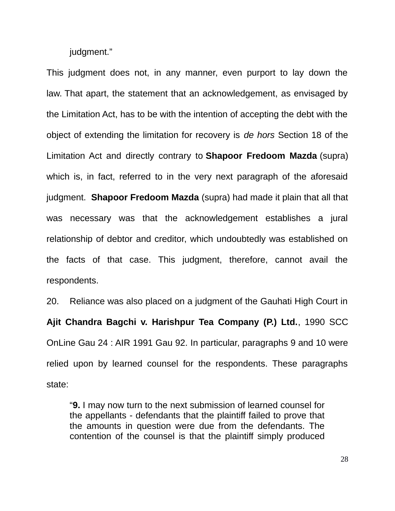judgment."

This judgment does not, in any manner, even purport to lay down the law. That apart, the statement that an acknowledgement, as envisaged by the Limitation Act, has to be with the intention of accepting the debt with the object of extending the limitation for recovery is *de hors* Section 18 of the Limitation Act and directly contrary to **Shapoor Fredoom Mazda** (supra) which is, in fact, referred to in the very next paragraph of the aforesaid judgment. **Shapoor Fredoom Mazda** (supra) had made it plain that all that was necessary was that the acknowledgement establishes a jural relationship of debtor and creditor, which undoubtedly was established on the facts of that case. This judgment, therefore, cannot avail the respondents.

20. Reliance was also placed on a judgment of the Gauhati High Court in **Ajit Chandra Bagchi v. Harishpur Tea Company (P.) Ltd.**, 1990 SCC OnLine Gau 24 : AIR 1991 Gau 92. In particular, paragraphs 9 and 10 were relied upon by learned counsel for the respondents. These paragraphs state:

"**9.** I may now turn to the next submission of learned counsel for the appellants - defendants that the plaintiff failed to prove that the amounts in question were due from the defendants. The contention of the counsel is that the plaintiff simply produced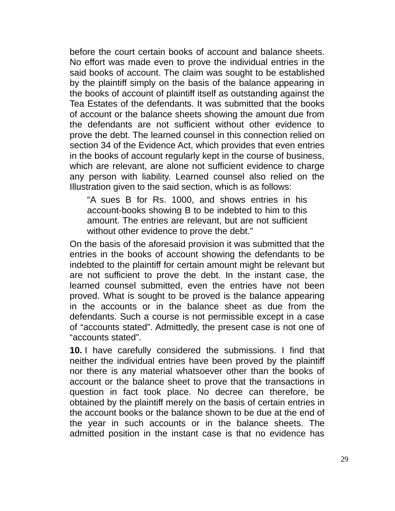before the court certain books of account and balance sheets. No effort was made even to prove the individual entries in the said books of account. The claim was sought to be established by the plaintiff simply on the basis of the balance appearing in the books of account of plaintiff itself as outstanding against the Tea Estates of the defendants. It was submitted that the books of account or the balance sheets showing the amount due from the defendants are not sufficient without other evidence to prove the debt. The learned counsel in this connection relied on section 34 of the Evidence Act, which provides that even entries in the books of account regularly kept in the course of business, which are relevant, are alone not sufficient evidence to charge any person with liability. Learned counsel also relied on the Illustration given to the said section, which is as follows:

"A sues B for Rs. 1000, and shows entries in his account-books showing B to be indebted to him to this amount. The entries are relevant, but are not sufficient without other evidence to prove the debt."

On the basis of the aforesaid provision it was submitted that the entries in the books of account showing the defendants to be indebted to the plaintiff for certain amount might be relevant but are not sufficient to prove the debt. In the instant case, the learned counsel submitted, even the entries have not been proved. What is sought to be proved is the balance appearing in the accounts or in the balance sheet as due from the defendants. Such a course is not permissible except in a case of "accounts stated". Admittedly, the present case is not one of "accounts stated".

**10.** I have carefully considered the submissions. I find that neither the individual entries have been proved by the plaintiff nor there is any material whatsoever other than the books of account or the balance sheet to prove that the transactions in question in fact took place. No decree can therefore, be obtained by the plaintiff merely on the basis of certain entries in the account books or the balance shown to be due at the end of the year in such accounts or in the balance sheets. The admitted position in the instant case is that no evidence has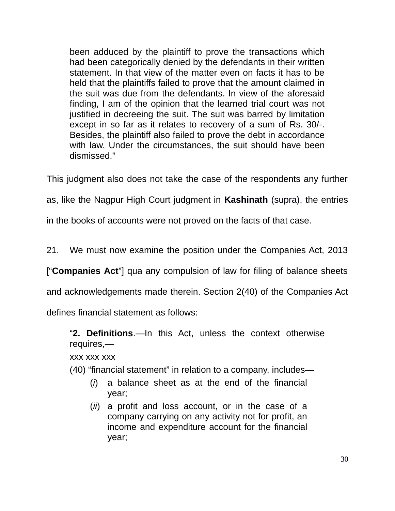been adduced by the plaintiff to prove the transactions which had been categorically denied by the defendants in their written statement. In that view of the matter even on facts it has to be held that the plaintiffs failed to prove that the amount claimed in the suit was due from the defendants. In view of the aforesaid finding, I am of the opinion that the learned trial court was not justified in decreeing the suit. The suit was barred by limitation except in so far as it relates to recovery of a sum of Rs. 30/-. Besides, the plaintiff also failed to prove the debt in accordance with law. Under the circumstances, the suit should have been dismissed."

This judgment also does not take the case of the respondents any further

as, like the Nagpur High Court judgment in **Kashinath** (supra), the entries

in the books of accounts were not proved on the facts of that case.

21. We must now examine the position under the Companies Act, 2013

["**Companies Act**"] qua any compulsion of law for filing of balance sheets

and acknowledgements made therein. Section 2(40) of the Companies Act

defines financial statement as follows:

"**2. Definitions**.—In this Act, unless the context otherwise requires,—

xxx xxx xxx

(40) "financial statement" in relation to a company, includes—

- (*i*) a balance sheet as at the end of the financial year;
- (*ii*) a profit and loss account, or in the case of a company carrying on any activity not for profit, an income and expenditure account for the financial year;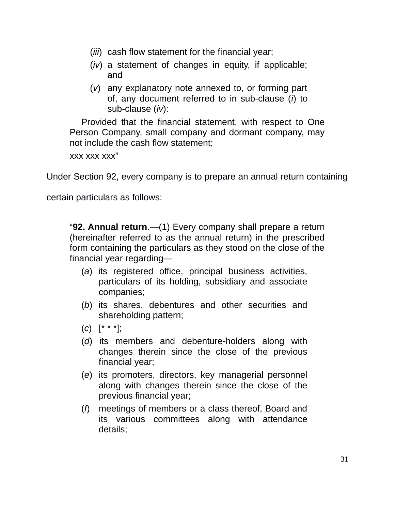- (*iii*) cash flow statement for the financial year;
- (*iv*) a statement of changes in equity, if applicable; and
- (*v*) any explanatory note annexed to, or forming part of, any document referred to in sub-clause (*i*) to sub-clause (*iv*):

Provided that the financial statement, with respect to One Person Company, small company and dormant company, may not include the cash flow statement;

xxx xxx xxx"

Under Section 92, every company is to prepare an annual return containing

certain particulars as follows:

"**92. Annual return**.—(1) Every company shall prepare a return (hereinafter referred to as the annual return) in the prescribed form containing the particulars as they stood on the close of the financial year regarding—

- (*a*) its registered office, principal business activities, particulars of its holding, subsidiary and associate companies;
- (*b*) its shares, debentures and other securities and shareholding pattern;
- (*c*) [\* \* \*];
- (*d*) its members and debenture-holders along with changes therein since the close of the previous financial year;
- (*e*) its promoters, directors, key managerial personnel along with changes therein since the close of the previous financial year;
- (*f*) meetings of members or a class thereof, Board and its various committees along with attendance details;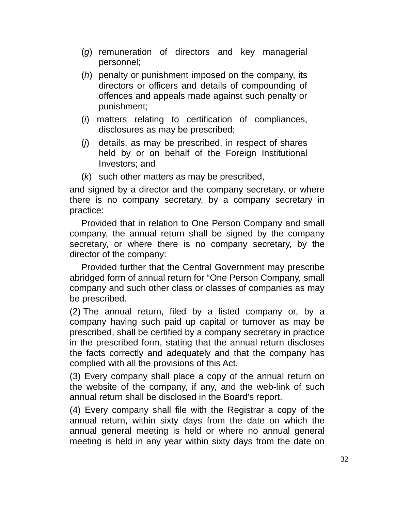- (*g*) remuneration of directors and key managerial personnel;
- (*h*) penalty or punishment imposed on the company, its directors or officers and details of compounding of offences and appeals made against such penalty or punishment;
- (*i*) matters relating to certification of compliances, disclosures as may be prescribed;
- (*j*) details, as may be prescribed, in respect of shares held by or on behalf of the Foreign Institutional Investors; and
- (*k*) such other matters as may be prescribed,

and signed by a director and the company secretary, or where there is no company secretary, by a company secretary in practice:

Provided that in relation to One Person Company and small company, the annual return shall be signed by the company secretary, or where there is no company secretary, by the director of the company:

Provided further that the Central Government may prescribe abridged form of annual return for "One Person Company, small company and such other class or classes of companies as may be prescribed.

(2) The annual return, filed by a listed company or, by a company having such paid up capital or turnover as may be prescribed, shall be certified by a company secretary in practice in the prescribed form, stating that the annual return discloses the facts correctly and adequately and that the company has complied with all the provisions of this Act.

(3) Every company shall place a copy of the annual return on the website of the company, if any, and the web-link of such annual return shall be disclosed in the Board's report.

(4) Every company shall file with the Registrar a copy of the annual return, within sixty days from the date on which the annual general meeting is held or where no annual general meeting is held in any year within sixty days from the date on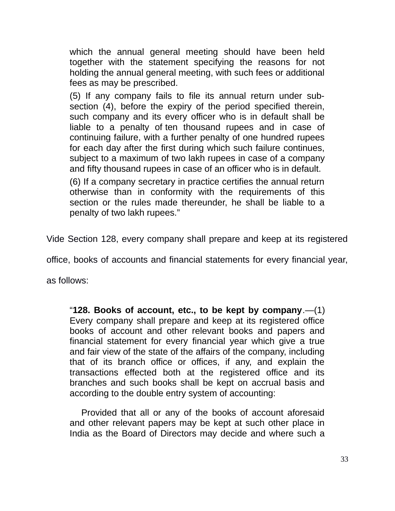which the annual general meeting should have been held together with the statement specifying the reasons for not holding the annual general meeting, with such fees or additional fees as may be prescribed.

(5) If any company fails to file its annual return under subsection (4), before the expiry of the period specified therein, such company and its every officer who is in default shall be liable to a penalty of ten thousand rupees and in case of continuing failure, with a further penalty of one hundred rupees for each day after the first during which such failure continues, subject to a maximum of two lakh rupees in case of a company and fifty thousand rupees in case of an officer who is in default.

(6) If a company secretary in practice certifies the annual return otherwise than in conformity with the requirements of this section or the rules made thereunder, he shall be liable to a penalty of two lakh rupees."

Vide Section 128, every company shall prepare and keep at its registered

office, books of accounts and financial statements for every financial year,

as follows:

"**128. Books of account, etc., to be kept by company**.—(1) Every company shall prepare and keep at its registered office books of account and other relevant books and papers and financial statement for every financial year which give a true and fair view of the state of the affairs of the company, including that of its branch office or offices, if any, and explain the transactions effected both at the registered office and its branches and such books shall be kept on accrual basis and according to the double entry system of accounting:

Provided that all or any of the books of account aforesaid and other relevant papers may be kept at such other place in India as the Board of Directors may decide and where such a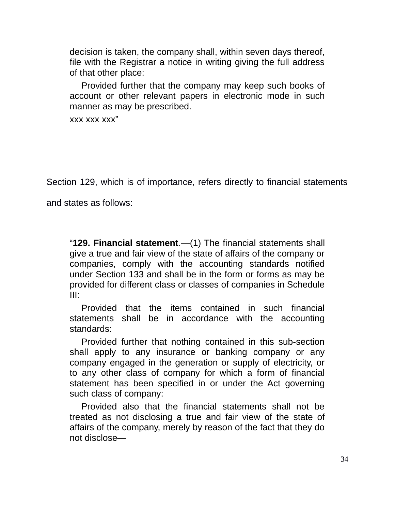decision is taken, the company shall, within seven days thereof, file with the Registrar a notice in writing giving the full address of that other place:

Provided further that the company may keep such books of account or other relevant papers in electronic mode in such manner as may be prescribed.

xxx xxx xxx"

Section 129, which is of importance, refers directly to financial statements

and states as follows:

"**129. Financial statement**.—(1) The financial statements shall give a true and fair view of the state of affairs of the company or companies, comply with the accounting standards notified under Section 133 and shall be in the form or forms as may be provided for different class or classes of companies in Schedule III:

Provided that the items contained in such financial statements shall be in accordance with the accounting standards:

Provided further that nothing contained in this sub-section shall apply to any insurance or banking company or any company engaged in the generation or supply of electricity, or to any other class of company for which a form of financial statement has been specified in or under the Act governing such class of company:

Provided also that the financial statements shall not be treated as not disclosing a true and fair view of the state of affairs of the company, merely by reason of the fact that they do not disclose—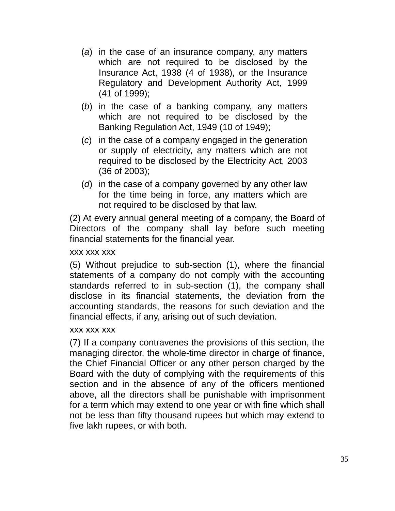- (*a*) in the case of an insurance company, any matters which are not required to be disclosed by the Insurance Act, 1938 (4 of 1938), or the Insurance Regulatory and Development Authority Act, 1999 (41 of 1999);
- (*b*) in the case of a banking company, any matters which are not required to be disclosed by the Banking Regulation Act, 1949 (10 of 1949);
- (*c*) in the case of a company engaged in the generation or supply of electricity, any matters which are not required to be disclosed by the Electricity Act, 2003 (36 of 2003);
- (*d*) in the case of a company governed by any other law for the time being in force, any matters which are not required to be disclosed by that law.

(2) At every annual general meeting of a company, the Board of Directors of the company shall lay before such meeting financial statements for the financial year.

#### xxx xxx xxx

(5) Without prejudice to sub-section (1), where the financial statements of a company do not comply with the accounting standards referred to in sub-section (1), the company shall disclose in its financial statements, the deviation from the accounting standards, the reasons for such deviation and the financial effects, if any, arising out of such deviation.

### xxx xxx xxx

(7) If a company contravenes the provisions of this section, the managing director, the whole-time director in charge of finance, the Chief Financial Officer or any other person charged by the Board with the duty of complying with the requirements of this section and in the absence of any of the officers mentioned above, all the directors shall be punishable with imprisonment for a term which may extend to one year or with fine which shall not be less than fifty thousand rupees but which may extend to five lakh rupees, or with both.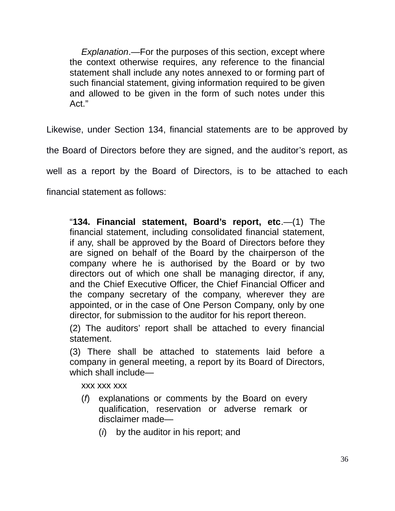*Explanation*.—For the purposes of this section, except where the context otherwise requires, any reference to the financial statement shall include any notes annexed to or forming part of such financial statement, giving information required to be given and allowed to be given in the form of such notes under this Act."

Likewise, under Section 134, financial statements are to be approved by

the Board of Directors before they are signed, and the auditor's report, as

well as a report by the Board of Directors, is to be attached to each

financial statement as follows:

"**134. Financial statement, Board's report, etc**.—(1) The financial statement, including consolidated financial statement, if any, shall be approved by the Board of Directors before they are signed on behalf of the Board by the chairperson of the company where he is authorised by the Board or by two directors out of which one shall be managing director, if any, and the Chief Executive Officer, the Chief Financial Officer and the company secretary of the company, wherever they are appointed, or in the case of One Person Company, only by one director, for submission to the auditor for his report thereon.

(2) The auditors' report shall be attached to every financial statement.

(3) There shall be attached to statements laid before a company in general meeting, a report by its Board of Directors, which shall include—

xxx xxx xxx

- (*f*) explanations or comments by the Board on every qualification, reservation or adverse remark or disclaimer made—
	- (*i*) by the auditor in his report; and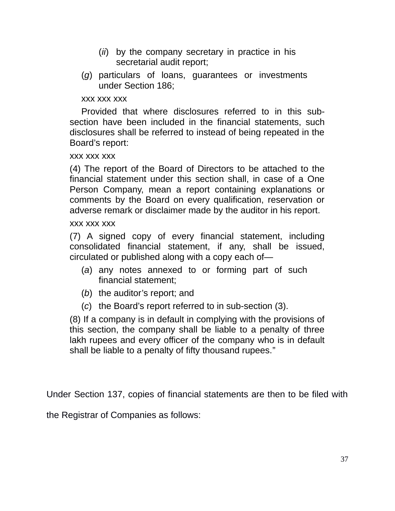- (*ii*) by the company secretary in practice in his secretarial audit report;
- (*g*) particulars of loans, guarantees or investments under Section 186;

### xxx xxx xxx

Provided that where disclosures referred to in this subsection have been included in the financial statements, such disclosures shall be referred to instead of being repeated in the Board's report:

#### xxx xxx xxx

(4) The report of the Board of Directors to be attached to the financial statement under this section shall, in case of a One Person Company, mean a report containing explanations or comments by the Board on every qualification, reservation or adverse remark or disclaimer made by the auditor in his report.

#### xxx xxx xxx

(7) A signed copy of every financial statement, including consolidated financial statement, if any, shall be issued, circulated or published along with a copy each of—

- (*a*) any notes annexed to or forming part of such financial statement;
- (*b*) the auditor's report; and
- (*c*) the Board's report referred to in sub-section (3).

(8) If a company is in default in complying with the provisions of this section, the company shall be liable to a penalty of three lakh rupees and every officer of the company who is in default shall be liable to a penalty of fifty thousand rupees."

Under Section 137, copies of financial statements are then to be filed with

the Registrar of Companies as follows: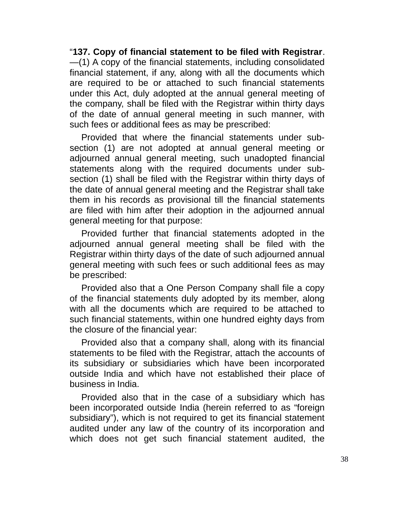"**137. Copy of financial statement to be filed with Registrar**. —(1) A copy of the financial statements, including consolidated financial statement, if any, along with all the documents which are required to be or attached to such financial statements under this Act, duly adopted at the annual general meeting of the company, shall be filed with the Registrar within thirty days of the date of annual general meeting in such manner, with such fees or additional fees as may be prescribed:

Provided that where the financial statements under subsection (1) are not adopted at annual general meeting or adjourned annual general meeting, such unadopted financial statements along with the required documents under subsection (1) shall be filed with the Registrar within thirty days of the date of annual general meeting and the Registrar shall take them in his records as provisional till the financial statements are filed with him after their adoption in the adjourned annual general meeting for that purpose:

Provided further that financial statements adopted in the adjourned annual general meeting shall be filed with the Registrar within thirty days of the date of such adjourned annual general meeting with such fees or such additional fees as may be prescribed:

Provided also that a One Person Company shall file a copy of the financial statements duly adopted by its member, along with all the documents which are required to be attached to such financial statements, within one hundred eighty days from the closure of the financial year:

Provided also that a company shall, along with its financial statements to be filed with the Registrar, attach the accounts of its subsidiary or subsidiaries which have been incorporated outside India and which have not established their place of business in India.

Provided also that in the case of a subsidiary which has been incorporated outside India (herein referred to as "foreign subsidiary"), which is not required to get its financial statement audited under any law of the country of its incorporation and which does not get such financial statement audited, the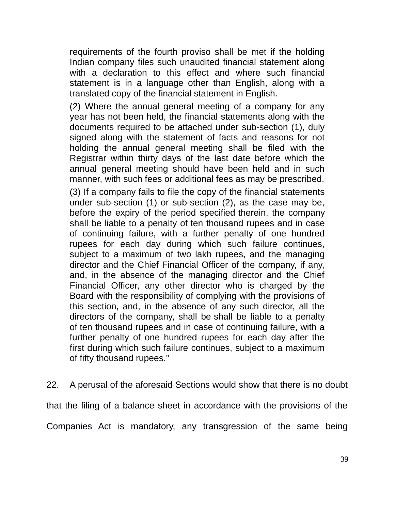requirements of the fourth proviso shall be met if the holding Indian company files such unaudited financial statement along with a declaration to this effect and where such financial statement is in a language other than English, along with a translated copy of the financial statement in English.

(2) Where the annual general meeting of a company for any year has not been held, the financial statements along with the documents required to be attached under sub-section (1), duly signed along with the statement of facts and reasons for not holding the annual general meeting shall be filed with the Registrar within thirty days of the last date before which the annual general meeting should have been held and in such manner, with such fees or additional fees as may be prescribed. (3) If a company fails to file the copy of the financial statements under sub-section (1) or sub-section (2), as the case may be, before the expiry of the period specified therein, the company shall be liable to a penalty of ten thousand rupees and in case of continuing failure, with a further penalty of one hundred rupees for each day during which such failure continues, subject to a maximum of two lakh rupees, and the managing director and the Chief Financial Officer of the company, if any, and, in the absence of the managing director and the Chief Financial Officer, any other director who is charged by the Board with the responsibility of complying with the provisions of this section, and, in the absence of any such director, all the directors of the company, shall be shall be liable to a penalty of ten thousand rupees and in case of continuing failure, with a further penalty of one hundred rupees for each day after the first during which such failure continues, subject to a maximum of fifty thousand rupees."

22. A perusal of the aforesaid Sections would show that there is no doubt that the filing of a balance sheet in accordance with the provisions of the Companies Act is mandatory, any transgression of the same being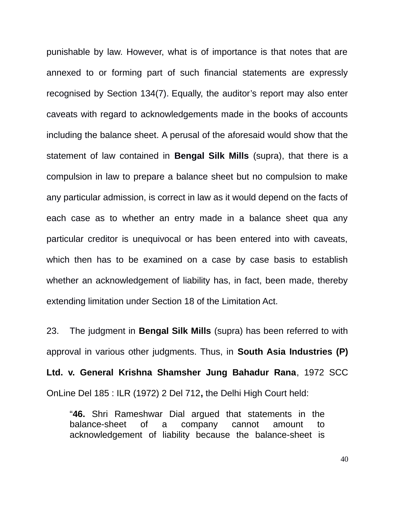punishable by law. However, what is of importance is that notes that are annexed to or forming part of such financial statements are expressly recognised by Section 134(7). Equally, the auditor's report may also enter caveats with regard to acknowledgements made in the books of accounts including the balance sheet. A perusal of the aforesaid would show that the statement of law contained in **Bengal Silk Mills** (supra), that there is a compulsion in law to prepare a balance sheet but no compulsion to make any particular admission, is correct in law as it would depend on the facts of each case as to whether an entry made in a balance sheet qua any particular creditor is unequivocal or has been entered into with caveats, which then has to be examined on a case by case basis to establish whether an acknowledgement of liability has, in fact, been made, thereby extending limitation under Section 18 of the Limitation Act.

23. The judgment in **Bengal Silk Mills** (supra) has been referred to with approval in various other judgments. Thus, in **South Asia Industries (P) Ltd. v. General Krishna Shamsher Jung Bahadur Rana**, 1972 SCC OnLine Del 185 : ILR (1972) 2 Del 712**,** the Delhi High Court held:

"**46.** Shri Rameshwar Dial argued that statements in the balance-sheet of a company cannot amount to acknowledgement of liability because the balance-sheet is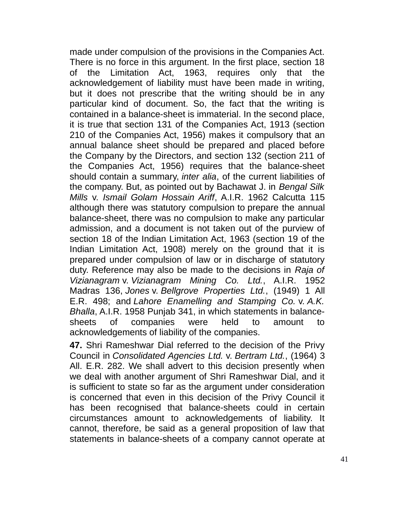made under compulsion of the provisions in the Companies Act. There is no force in this argument. In the first place, section 18 of the Limitation Act, 1963, requires only that the acknowledgement of liability must have been made in writing, but it does not prescribe that the writing should be in any particular kind of document. So, the fact that the writing is contained in a balance-sheet is immaterial. In the second place, it is true that section 131 of the Companies Act, 1913 (section 210 of the Companies Act, 1956) makes it compulsory that an annual balance sheet should be prepared and placed before the Company by the Directors, and section 132 (section 211 of the Companies Act, 1956) requires that the balance-sheet should contain a summary, *inter alia*, of the current liabilities of the company. But, as pointed out by Bachawat J. in *Bengal Silk Mills* v. *Ismail Golam Hossain Ariff*, A.I.R. 1962 Calcutta 115 although there was statutory compulsion to prepare the annual balance-sheet, there was no compulsion to make any particular admission, and a document is not taken out of the purview of section 18 of the Indian Limitation Act, 1963 (section 19 of the Indian Limitation Act, 1908) merely on the ground that it is prepared under compulsion of law or in discharge of statutory duty. Reference may also be made to the decisions in *Raja of Vizianagram* v. *Vizianagram Mining Co. Ltd.*, A.I.R. 1952 Madras 136, *Jones* v. *Bellgrove Properties Ltd.*, (1949) 1 All E.R. 498; and *Lahore Enamelling and Stamping Co.* v. *A.K. Bhalla*, A.I.R. 1958 Punjab 341, in which statements in balancesheets of companies were held to amount to acknowledgements of liability of the companies.

**47.** Shri Rameshwar Dial referred to the decision of the Privy Council in *Consolidated Agencies Ltd.* v. *Bertram Ltd.*, (1964) 3 All. E.R. 282. We shall advert to this decision presently when we deal with another argument of Shri Rameshwar Dial, and it is sufficient to state so far as the argument under consideration is concerned that even in this decision of the Privy Council it has been recognised that balance-sheets could in certain circumstances amount to acknowledgements of liability. It cannot, therefore, be said as a general proposition of law that statements in balance-sheets of a company cannot operate at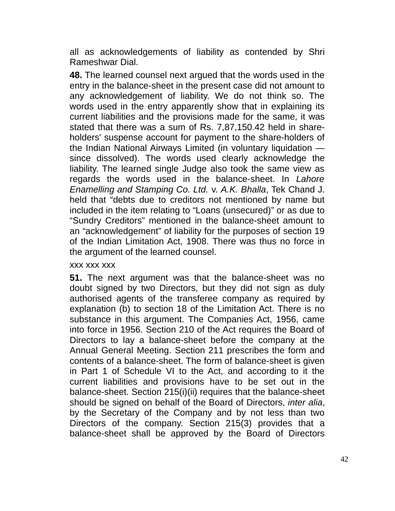all as acknowledgements of liability as contended by Shri Rameshwar Dial.

**48.** The learned counsel next argued that the words used in the entry in the balance-sheet in the present case did not amount to any acknowledgement of liability. We do not think so. The words used in the entry apparently show that in explaining its current liabilities and the provisions made for the same, it was stated that there was a sum of Rs. 7,87,150.42 held in shareholders' suspense account for payment to the share-holders of the Indian National Airways Limited (in voluntary liquidation since dissolved). The words used clearly acknowledge the liability. The learned single Judge also took the same view as regards the words used in the balance-sheet. In *Lahore Enamelling and Stamping Co. Ltd.* v. *A.K. Bhalla*, Tek Chand J. held that "debts due to creditors not mentioned by name but included in the item relating to "Loans (unsecured)" or as due to "Sundry Creditors" mentioned in the balance-sheet amount to an "acknowledgement" of liability for the purposes of section 19 of the Indian Limitation Act, 1908. There was thus no force in the argument of the learned counsel.

xxx xxx xxx

**51.** The next argument was that the balance-sheet was no doubt signed by two Directors, but they did not sign as duly authorised agents of the transferee company as required by explanation (b) to section 18 of the Limitation Act. There is no substance in this argument. The Companies Act, 1956, came into force in 1956. Section 210 of the Act requires the Board of Directors to lay a balance-sheet before the company at the Annual General Meeting. Section 211 prescribes the form and contents of a balance-sheet. The form of balance-sheet is given in Part 1 of Schedule VI to the Act, and according to it the current liabilities and provisions have to be set out in the balance-sheet. Section 215(i)(ii) requires that the balance-sheet should be signed on behalf of the Board of Directors, *inter alia*, by the Secretary of the Company and by not less than two Directors of the company. Section 215(3) provides that a balance-sheet shall be approved by the Board of Directors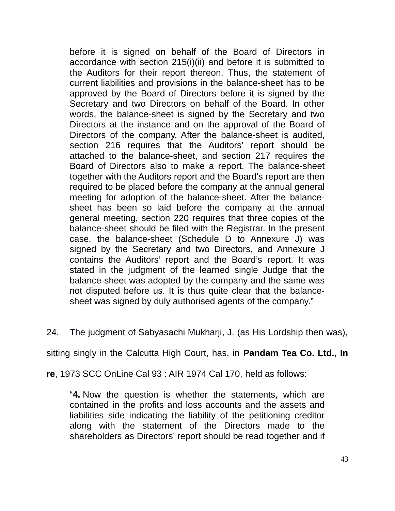before it is signed on behalf of the Board of Directors in accordance with section 215(i)(ii) and before it is submitted to the Auditors for their report thereon. Thus, the statement of current liabilities and provisions in the balance-sheet has to be approved by the Board of Directors before it is signed by the Secretary and two Directors on behalf of the Board. In other words, the balance-sheet is signed by the Secretary and two Directors at the instance and on the approval of the Board of Directors of the company. After the balance-sheet is audited, section 216 requires that the Auditors' report should be attached to the balance-sheet, and section 217 requires the Board of Directors also to make a report. The balance-sheet together with the Auditors report and the Board's report are then required to be placed before the company at the annual general meeting for adoption of the balance-sheet. After the balancesheet has been so laid before the company at the annual general meeting, section 220 requires that three copies of the balance-sheet should be filed with the Registrar. In the present case, the balance-sheet (Schedule D to Annexure J) was signed by the Secretary and two Directors, and Annexure J contains the Auditors' report and the Board's report. It was stated in the judgment of the learned single Judge that the balance-sheet was adopted by the company and the same was not disputed before us. It is thus quite clear that the balancesheet was signed by duly authorised agents of the company."

24. The judgment of Sabyasachi Mukharji, J. (as His Lordship then was),

sitting singly in the Calcutta High Court, has, in **Pandam Tea Co. Ltd., In**

**re**, 1973 SCC OnLine Cal 93 : AIR 1974 Cal 170, held as follows:

"**4.** Now the question is whether the statements, which are contained in the profits and loss accounts and the assets and liabilities side indicating the liability of the petitioning creditor along with the statement of the Directors made to the shareholders as Directors' report should be read together and if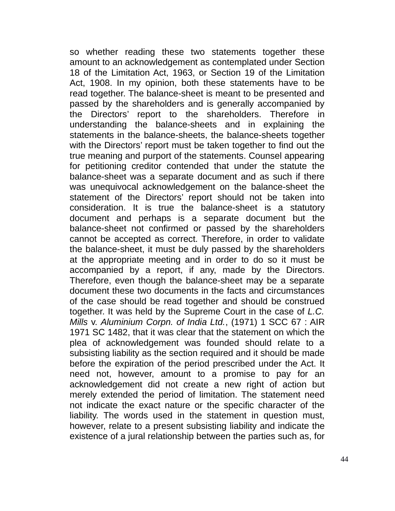so whether reading these two statements together these amount to an acknowledgement as contemplated under Section 18 of the Limitation Act, 1963, or Section 19 of the Limitation Act, 1908. In my opinion, both these statements have to be read together. The balance-sheet is meant to be presented and passed by the shareholders and is generally accompanied by the Directors' report to the shareholders. Therefore in understanding the balance-sheets and in explaining the statements in the balance-sheets, the balance-sheets together with the Directors' report must be taken together to find out the true meaning and purport of the statements. Counsel appearing for petitioning creditor contended that under the statute the balance-sheet was a separate document and as such if there was unequivocal acknowledgement on the balance-sheet the statement of the Directors' report should not be taken into consideration. It is true the balance-sheet is a statutory document and perhaps is a separate document but the balance-sheet not confirmed or passed by the shareholders cannot be accepted as correct. Therefore, in order to validate the balance-sheet, it must be duly passed by the shareholders at the appropriate meeting and in order to do so it must be accompanied by a report, if any, made by the Directors. Therefore, even though the balance-sheet may be a separate document these two documents in the facts and circumstances of the case should be read together and should be construed together. It was held by the Supreme Court in the case of *L.C. Mills* v. *Aluminium Corpn. of India Ltd.*, (1971) 1 SCC 67 : AIR 1971 SC 1482, that it was clear that the statement on which the plea of acknowledgement was founded should relate to a subsisting liability as the section required and it should be made before the expiration of the period prescribed under the Act. It need not, however, amount to a promise to pay for an acknowledgement did not create a new right of action but merely extended the period of limitation. The statement need not indicate the exact nature or the specific character of the liability. The words used in the statement in question must, however, relate to a present subsisting liability and indicate the existence of a jural relationship between the parties such as, for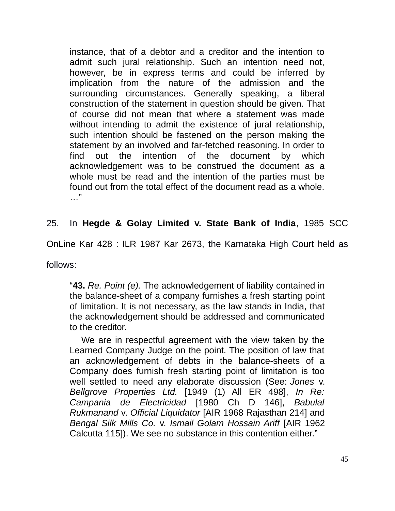instance, that of a debtor and a creditor and the intention to admit such jural relationship. Such an intention need not, however, be in express terms and could be inferred by implication from the nature of the admission and the surrounding circumstances. Generally speaking, a liberal construction of the statement in question should be given. That of course did not mean that where a statement was made without intending to admit the existence of jural relationship, such intention should be fastened on the person making the statement by an involved and far-fetched reasoning. In order to find out the intention of the document by which acknowledgement was to be construed the document as a whole must be read and the intention of the parties must be found out from the total effect of the document read as a whole. …"

### 25. In **Hegde & Golay Limited v. State Bank of India**, 1985 SCC

OnLine Kar 428 : ILR 1987 Kar 2673, the Karnataka High Court held as

follows:

"**43.** *Re. Point (e).* The acknowledgement of liability contained in the balance-sheet of a company furnishes a fresh starting point of limitation. It is not necessary, as the law stands in India, that the acknowledgement should be addressed and communicated to the creditor.

We are in respectful agreement with the view taken by the Learned Company Judge on the point. The position of law that an acknowledgement of debts in the balance-sheets of a Company does furnish fresh starting point of limitation is too well settled to need any elaborate discussion (See: *Jones* v. *Bellgrove Properties Ltd.* [1949 (1) All ER 498], *In Re: Campania de Electricidad* [1980 Ch D 146], *Babulal Rukmanand* v. *Official Liquidator* [AIR 1968 Rajasthan 214] and *Bengal Silk Mills Co.* v. *Ismail Golam Hossain Ariff* [AIR 1962 Calcutta 115]). We see no substance in this contention either."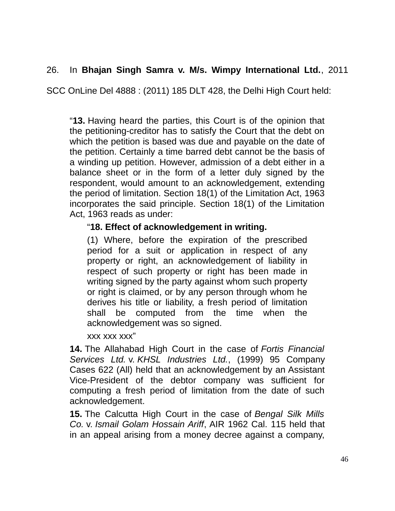# 26. In **Bhajan Singh Samra v. M/s. Wimpy International Ltd.**, 2011

SCC OnLine Del 4888 : (2011) 185 DLT 428, the Delhi High Court held:

"**13.** Having heard the parties, this Court is of the opinion that the petitioning-creditor has to satisfy the Court that the debt on which the petition is based was due and payable on the date of the petition. Certainly a time barred debt cannot be the basis of a winding up petition. However, admission of a debt either in a balance sheet or in the form of a letter duly signed by the respondent, would amount to an acknowledgement, extending the period of limitation. Section 18(1) of the Limitation Act, 1963 incorporates the said principle. Section 18(1) of the Limitation Act, 1963 reads as under:

### "**18. Effect of acknowledgement in writing.**

(1) Where, before the expiration of the prescribed period for a suit or application in respect of any property or right, an acknowledgement of liability in respect of such property or right has been made in writing signed by the party against whom such property or right is claimed, or by any person through whom he derives his title or liability, a fresh period of limitation shall be computed from the time when the acknowledgement was so signed.

xxx xxx xxx"

**14.** The Allahabad High Court in the case of *Fortis Financial Services Ltd.* v. *KHSL Industries Ltd.*, (1999) 95 Company Cases 622 (All) held that an acknowledgement by an Assistant Vice-President of the debtor company was sufficient for computing a fresh period of limitation from the date of such acknowledgement.

**15.** The Calcutta High Court in the case of *Bengal Silk Mills Co.* v. *Ismail Golam Hossain Ariff*, AIR 1962 Cal. 115 held that in an appeal arising from a money decree against a company,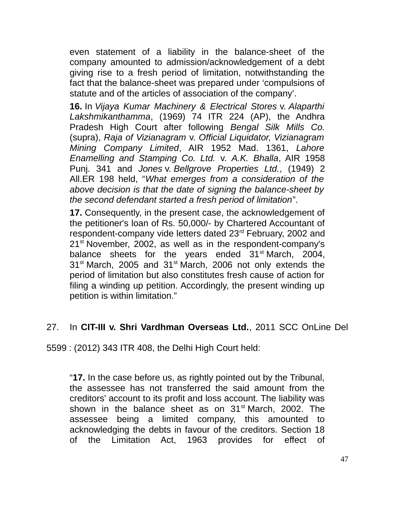even statement of a liability in the balance-sheet of the company amounted to admission/acknowledgement of a debt giving rise to a fresh period of limitation, notwithstanding the fact that the balance-sheet was prepared under 'compulsions of statute and of the articles of association of the company'.

**16.** In *Vijaya Kumar Machinery & Electrical Stores* v. *Alaparthi Lakshmikanthamma*, (1969) 74 ITR 224 (AP), the Andhra Pradesh High Court after following *Bengal Silk Mills Co.* (supra), *Raja of Vizianagram* v. *Official Liquidator, Vizianagram Mining Company Limited*, AIR 1952 Mad. 1361, *Lahore Enamelling and Stamping Co. Ltd.* v. *A.K. Bhalla*, AIR 1958 Punj. 341 and *Jones* v. *Bellgrove Properties Ltd.*, (1949) 2 All.ER 198 held, "*What emerges from a consideration of the above decision is that the date of signing the balance-sheet by the second defendant started a fresh period of limitation*".

**17.** Consequently, in the present case, the acknowledgement of the petitioner's loan of Rs. 50,000/- by Chartered Accountant of respondent-company vide letters dated 23<sup>rd</sup> February, 2002 and  $21<sup>st</sup>$  November, 2002, as well as in the respondent-company's balance sheets for the years ended  $31<sup>st</sup>$  March, 2004,  $31<sup>st</sup>$  March, 2005 and  $31<sup>st</sup>$  March, 2006 not only extends the period of limitation but also constitutes fresh cause of action for filing a winding up petition. Accordingly, the present winding up petition is within limitation."

# 27. In **CIT-III v. Shri Vardhman Overseas Ltd.**, 2011 SCC OnLine Del

5599 : (2012) 343 ITR 408, the Delhi High Court held:

"**17.** In the case before us, as rightly pointed out by the Tribunal, the assessee has not transferred the said amount from the creditors' account to its profit and loss account. The liability was shown in the balance sheet as on  $31<sup>st</sup>$  March, 2002. The assessee being a limited company, this amounted to acknowledging the debts in favour of the creditors. Section 18 of the Limitation Act, 1963 provides for effect of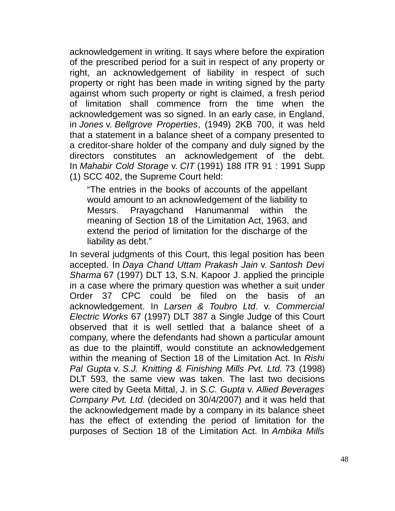acknowledgement in writing. It says where before the expiration of the prescribed period for a suit in respect of any property or right, an acknowledgement of liability in respect of such property or right has been made in writing signed by the party against whom such property or right is claimed, a fresh period of limitation shall commence from the time when the acknowledgement was so signed. In an early case, in England, in *Jones* v. *Bellgrove Properties*, (1949) 2KB 700, it was held that a statement in a balance sheet of a company presented to a creditor-share holder of the company and duly signed by the directors constitutes an acknowledgement of the debt. In *Mahabir Cold Storage* v. *CIT* (1991) 188 ITR 91 : 1991 Supp (1) SCC 402, the Supreme Court held:

"The entries in the books of accounts of the appellant would amount to an acknowledgement of the liability to Messrs. Prayagchand Hanumanmal within the meaning of Section 18 of the Limitation Act, 1963, and extend the period of limitation for the discharge of the liability as debt."

In several judgments of this Court, this legal position has been accepted. In *Daya Chand Uttam Prakash Jain* v. *Santosh Devi Sharma* 67 (1997) DLT 13, S.N. Kapoor J. applied the principle in a case where the primary question was whether a suit under Order 37 CPC could be filed on the basis of an acknowledgement. In *Larsen & Toubro Ltd.* v. *Commercial Electric Works* 67 (1997) DLT 387 a Single Judge of this Court observed that it is well settled that a balance sheet of a company, where the defendants had shown a particular amount as due to the plaintiff, would constitute an acknowledgement within the meaning of Section 18 of the Limitation Act. In *Rishi Pal Gupta* v. *S.J. Knitting & Finishing Mills Pvt. Ltd.* 73 (1998) DLT 593, the same view was taken. The last two decisions were cited by Geeta Mittal, J. in *S.C. Gupta* v. *Allied Beverages Company Pvt. Ltd.* (decided on 30/4/2007) and it was held that the acknowledgement made by a company in its balance sheet has the effect of extending the period of limitation for the purposes of Section 18 of the Limitation Act. In *Ambika Mills*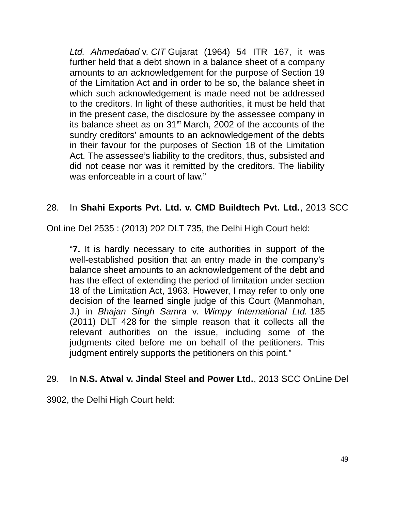*Ltd. Ahmedabad* v. *CIT* Gujarat (1964) 54 ITR 167, it was further held that a debt shown in a balance sheet of a company amounts to an acknowledgement for the purpose of Section 19 of the Limitation Act and in order to be so, the balance sheet in which such acknowledgement is made need not be addressed to the creditors. In light of these authorities, it must be held that in the present case, the disclosure by the assessee company in its balance sheet as on  $31<sup>st</sup>$  March, 2002 of the accounts of the sundry creditors' amounts to an acknowledgement of the debts in their favour for the purposes of Section 18 of the Limitation Act. The assessee's liability to the creditors, thus, subsisted and did not cease nor was it remitted by the creditors. The liability was enforceable in a court of law."

# 28. In **Shahi Exports Pvt. Ltd. v. CMD Buildtech Pvt. Ltd.**, 2013 SCC

OnLine Del 2535 : (2013) 202 DLT 735, the Delhi High Court held:

"**7.** It is hardly necessary to cite authorities in support of the well-established position that an entry made in the company's balance sheet amounts to an acknowledgement of the debt and has the effect of extending the period of limitation under section 18 of the Limitation Act, 1963. However, I may refer to only one decision of the learned single judge of this Court (Manmohan, J.) in *Bhajan Singh Samra* v. *Wimpy International Ltd.* 185 (2011) DLT 428 for the simple reason that it collects all the relevant authorities on the issue, including some of the judgments cited before me on behalf of the petitioners. This judgment entirely supports the petitioners on this point."

#### 29. In **N.S. Atwal v. Jindal Steel and Power Ltd.**, 2013 SCC OnLine Del

3902, the Delhi High Court held: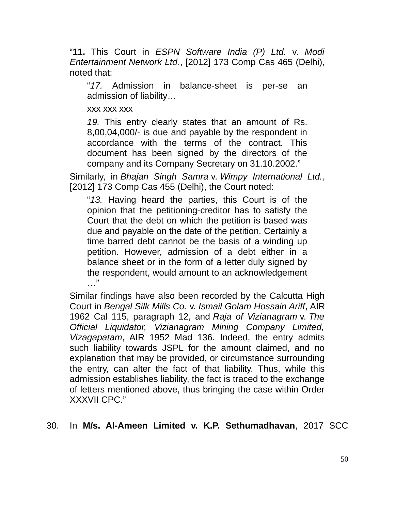"**11.** This Court in *ESPN Software India (P) Ltd.* v. *Modi Entertainment Network Ltd.*, [2012] 173 Comp Cas 465 (Delhi), noted that:

"*17.* Admission in balance-sheet is per-se an admission of liability…

xxx xxx xxx

*19.* This entry clearly states that an amount of Rs. 8,00,04,000/- is due and payable by the respondent in accordance with the terms of the contract. This document has been signed by the directors of the company and its Company Secretary on 31.10.2002."

Similarly, in *Bhajan Singh Samra* v. *Wimpy International Ltd.*, [2012] 173 Comp Cas 455 (Delhi), the Court noted:

"*13.* Having heard the parties, this Court is of the opinion that the petitioning-creditor has to satisfy the Court that the debt on which the petition is based was due and payable on the date of the petition. Certainly a time barred debt cannot be the basis of a winding up petition. However, admission of a debt either in a balance sheet or in the form of a letter duly signed by the respondent, would amount to an acknowledgement …"

Similar findings have also been recorded by the Calcutta High Court in *Bengal Silk Mills Co.* v. *Ismail Golam Hossain Ariff*, AIR 1962 Cal 115, paragraph 12, and *Raja of Vizianagram* v. *The Official Liquidator, Vizianagram Mining Company Limited, Vizagapatam*, AIR 1952 Mad 136. Indeed, the entry admits such liability towards JSPL for the amount claimed, and no explanation that may be provided, or circumstance surrounding the entry, can alter the fact of that liability. Thus, while this admission establishes liability, the fact is traced to the exchange of letters mentioned above, thus bringing the case within Order XXXVII CPC."

30. In **M/s. Al-Ameen Limited v. K.P. Sethumadhavan**, 2017 SCC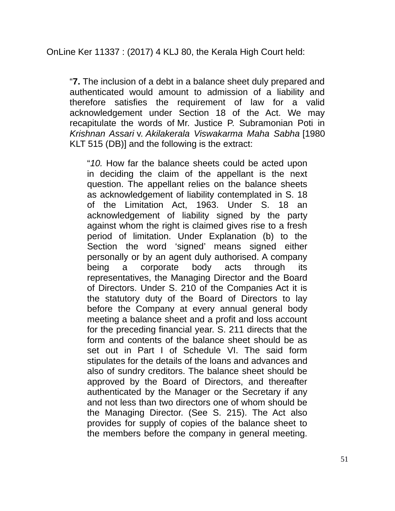"**7.** The inclusion of a debt in a balance sheet duly prepared and authenticated would amount to admission of a liability and therefore satisfies the requirement of law for a valid acknowledgement under Section 18 of the Act. We may recapitulate the words of Mr. Justice P. Subramonian Poti in *Krishnan Assari* v. *Akilakerala Viswakarma Maha Sabha* [1980 KLT 515 (DB)] and the following is the extract:

"*10.* How far the balance sheets could be acted upon in deciding the claim of the appellant is the next question. The appellant relies on the balance sheets as acknowledgement of liability contemplated in S. 18 of the Limitation Act, 1963. Under S. 18 an acknowledgement of liability signed by the party against whom the right is claimed gives rise to a fresh period of limitation. Under Explanation (b) to the Section the word 'signed' means signed either personally or by an agent duly authorised. A company being a corporate body acts through its representatives, the Managing Director and the Board of Directors. Under S. 210 of the Companies Act it is the statutory duty of the Board of Directors to lay before the Company at every annual general body meeting a balance sheet and a profit and loss account for the preceding financial year. S. 211 directs that the form and contents of the balance sheet should be as set out in Part I of Schedule VI. The said form stipulates for the details of the loans and advances and also of sundry creditors. The balance sheet should be approved by the Board of Directors, and thereafter authenticated by the Manager or the Secretary if any and not less than two directors one of whom should be the Managing Director. (See S. 215). The Act also provides for supply of copies of the balance sheet to the members before the company in general meeting.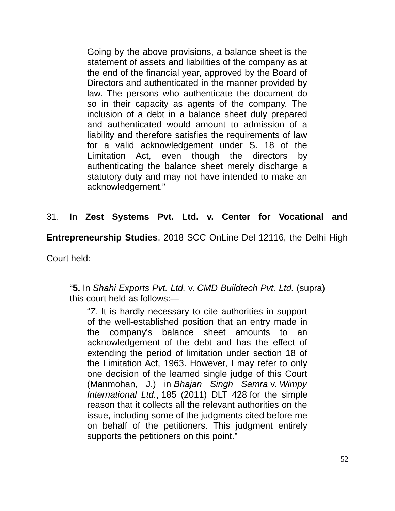Going by the above provisions, a balance sheet is the statement of assets and liabilities of the company as at the end of the financial year, approved by the Board of Directors and authenticated in the manner provided by law. The persons who authenticate the document do so in their capacity as agents of the company. The inclusion of a debt in a balance sheet duly prepared and authenticated would amount to admission of a liability and therefore satisfies the requirements of law for a valid acknowledgement under S. 18 of the Limitation Act, even though the directors by authenticating the balance sheet merely discharge a statutory duty and may not have intended to make an acknowledgement."

### 31. In **Zest Systems Pvt. Ltd. v. Center for Vocational and**

**Entrepreneurship Studies**, 2018 SCC OnLine Del 12116, the Delhi High

Court held:

"**5.** In *Shahi Exports Pvt. Ltd.* v. *CMD Buildtech Pvt. Ltd.* (supra) this court held as follows:—

"*7.* It is hardly necessary to cite authorities in support of the well-established position that an entry made in the company's balance sheet amounts to an acknowledgement of the debt and has the effect of extending the period of limitation under section 18 of the Limitation Act, 1963. However, I may refer to only one decision of the learned single judge of this Court (Manmohan, J.) in *Bhajan Singh Samra* v. *Wimpy International Ltd.*, 185 (2011) DLT 428 for the simple reason that it collects all the relevant authorities on the issue, including some of the judgments cited before me on behalf of the petitioners. This judgment entirely supports the petitioners on this point."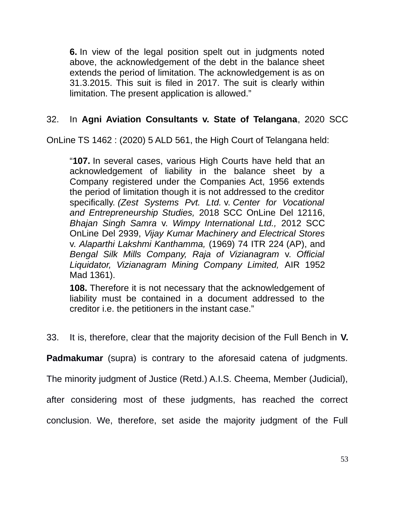**6.** In view of the legal position spelt out in judgments noted above, the acknowledgement of the debt in the balance sheet extends the period of limitation. The acknowledgement is as on 31.3.2015. This suit is filed in 2017. The suit is clearly within limitation. The present application is allowed."

# 32. In **Agni Aviation Consultants v. State of Telangana**, 2020 SCC

OnLine TS 1462 : (2020) 5 ALD 561, the High Court of Telangana held:

"**107.** In several cases, various High Courts have held that an acknowledgement of liability in the balance sheet by a Company registered under the Companies Act, 1956 extends the period of limitation though it is not addressed to the creditor specifically. *(Zest Systems Pvt. Ltd.* v. *Center for Vocational and Entrepreneurship Studies,* 2018 SCC OnLine Del 12116, *Bhajan Singh Samra* v. *Wimpy International Ltd.,* 2012 SCC OnLine Del 2939, *Vijay Kumar Machinery and Electrical Stores* v. *Alaparthi Lakshmi Kanthamma,* (1969) 74 ITR 224 (AP), and *Bengal Silk Mills Company, Raja of Vizianagram* v. *Official Liquidator, Vizianagram Mining Company Limited,* AIR 1952 Mad 1361).

**108.** Therefore it is not necessary that the acknowledgement of liability must be contained in a document addressed to the creditor i.e. the petitioners in the instant case."

33. It is, therefore, clear that the majority decision of the Full Bench in **V.**

**Padmakumar** (supra) is contrary to the aforesaid catena of judgments.

The minority judgment of Justice (Retd.) A.I.S. Cheema, Member (Judicial),

after considering most of these judgments, has reached the correct

conclusion. We, therefore, set aside the majority judgment of the Full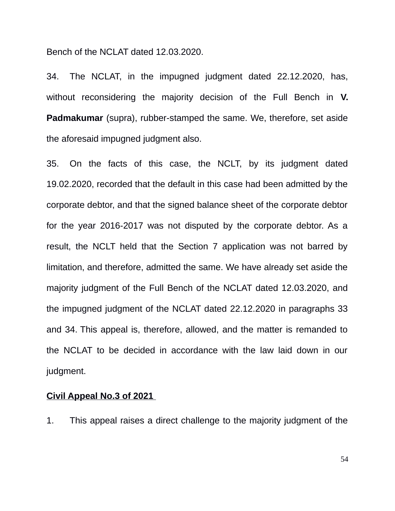Bench of the NCLAT dated 12.03.2020.

34. The NCLAT, in the impugned judgment dated 22.12.2020, has, without reconsidering the majority decision of the Full Bench in **V. Padmakumar** (supra), rubber-stamped the same. We, therefore, set aside the aforesaid impugned judgment also.

35. On the facts of this case, the NCLT, by its judgment dated 19.02.2020, recorded that the default in this case had been admitted by the corporate debtor, and that the signed balance sheet of the corporate debtor for the year 2016-2017 was not disputed by the corporate debtor. As a result, the NCLT held that the Section 7 application was not barred by limitation, and therefore, admitted the same. We have already set aside the majority judgment of the Full Bench of the NCLAT dated 12.03.2020, and the impugned judgment of the NCLAT dated 22.12.2020 in paragraphs 33 and 34. This appeal is, therefore, allowed, and the matter is remanded to the NCLAT to be decided in accordance with the law laid down in our judgment.

#### **Civil Appeal No.3 of 2021**

1. This appeal raises a direct challenge to the majority judgment of the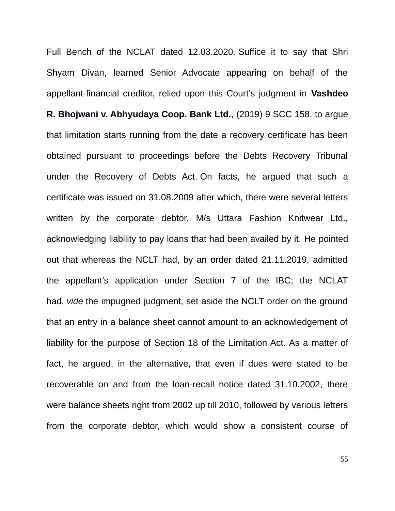Full Bench of the NCLAT dated 12.03.2020. Suffice it to say that Shri Shyam Divan, learned Senior Advocate appearing on behalf of the appellant-financial creditor, relied upon this Court's judgment in **Vashdeo R. Bhojwani v. Abhyudaya Coop. Bank Ltd.**, (2019) 9 SCC 158, to argue that limitation starts running from the date a recovery certificate has been obtained pursuant to proceedings before the Debts Recovery Tribunal under the Recovery of Debts Act. On facts, he argued that such a certificate was issued on 31.08.2009 after which, there were several letters written by the corporate debtor, M/s Uttara Fashion Knitwear Ltd., acknowledging liability to pay loans that had been availed by it. He pointed out that whereas the NCLT had, by an order dated 21.11.2019, admitted the appellant's application under Section 7 of the IBC; the NCLAT had, *vide* the impugned judgment, set aside the NCLT order on the ground that an entry in a balance sheet cannot amount to an acknowledgement of liability for the purpose of Section 18 of the Limitation Act. As a matter of fact, he argued, in the alternative, that even if dues were stated to be recoverable on and from the loan-recall notice dated 31.10.2002, there were balance sheets right from 2002 up till 2010, followed by various letters from the corporate debtor, which would show a consistent course of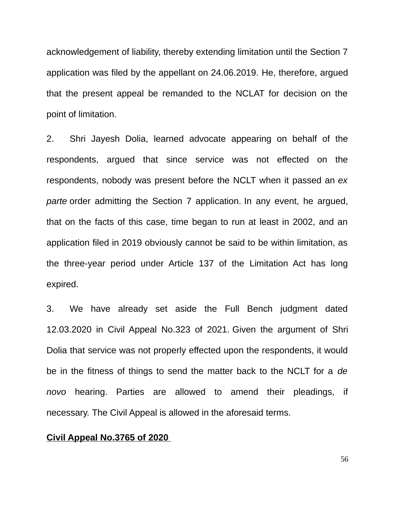acknowledgement of liability, thereby extending limitation until the Section 7 application was filed by the appellant on 24.06.2019. He, therefore, argued that the present appeal be remanded to the NCLAT for decision on the point of limitation.

2. Shri Jayesh Dolia, learned advocate appearing on behalf of the respondents, argued that since service was not effected on the respondents, nobody was present before the NCLT when it passed an *ex parte* order admitting the Section 7 application. In any event, he argued, that on the facts of this case, time began to run at least in 2002, and an application filed in 2019 obviously cannot be said to be within limitation, as the three-year period under Article 137 of the Limitation Act has long expired.

3. We have already set aside the Full Bench judgment dated 12.03.2020 in Civil Appeal No.323 of 2021. Given the argument of Shri Dolia that service was not properly effected upon the respondents, it would be in the fitness of things to send the matter back to the NCLT for a *de novo* hearing. Parties are allowed to amend their pleadings, if necessary. The Civil Appeal is allowed in the aforesaid terms.

### **Civil Appeal No.3765 of 2020**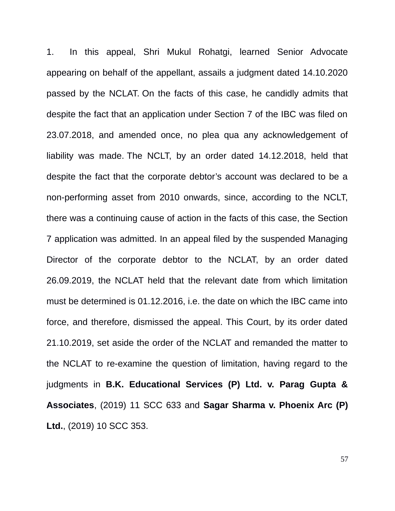1. In this appeal, Shri Mukul Rohatgi, learned Senior Advocate appearing on behalf of the appellant, assails a judgment dated 14.10.2020 passed by the NCLAT. On the facts of this case, he candidly admits that despite the fact that an application under Section 7 of the IBC was filed on 23.07.2018, and amended once, no plea qua any acknowledgement of liability was made. The NCLT, by an order dated 14.12.2018, held that despite the fact that the corporate debtor's account was declared to be a non-performing asset from 2010 onwards, since, according to the NCLT, there was a continuing cause of action in the facts of this case, the Section 7 application was admitted. In an appeal filed by the suspended Managing Director of the corporate debtor to the NCLAT, by an order dated 26.09.2019, the NCLAT held that the relevant date from which limitation must be determined is 01.12.2016, i.e. the date on which the IBC came into force, and therefore, dismissed the appeal. This Court, by its order dated 21.10.2019, set aside the order of the NCLAT and remanded the matter to the NCLAT to re-examine the question of limitation, having regard to the judgments in **B.K. Educational Services (P) Ltd. v. Parag Gupta & Associates**, (2019) 11 SCC 633 and **Sagar Sharma v. Phoenix Arc (P) Ltd.**, (2019) 10 SCC 353.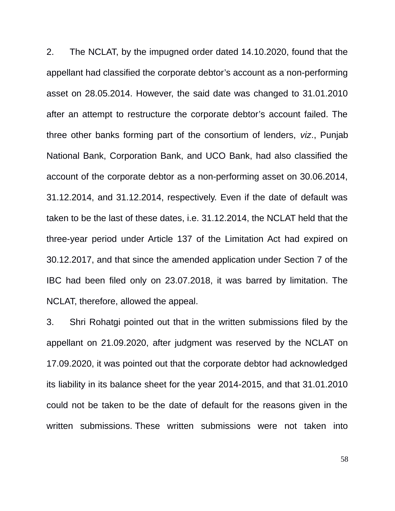2. The NCLAT, by the impugned order dated 14.10.2020, found that the appellant had classified the corporate debtor's account as a non-performing asset on 28.05.2014. However, the said date was changed to 31.01.2010 after an attempt to restructure the corporate debtor's account failed. The three other banks forming part of the consortium of lenders, *viz*., Punjab National Bank, Corporation Bank, and UCO Bank, had also classified the account of the corporate debtor as a non-performing asset on 30.06.2014, 31.12.2014, and 31.12.2014, respectively. Even if the date of default was taken to be the last of these dates, i.e. 31.12.2014, the NCLAT held that the three-year period under Article 137 of the Limitation Act had expired on 30.12.2017, and that since the amended application under Section 7 of the IBC had been filed only on 23.07.2018, it was barred by limitation. The NCLAT, therefore, allowed the appeal.

3. Shri Rohatgi pointed out that in the written submissions filed by the appellant on 21.09.2020, after judgment was reserved by the NCLAT on 17.09.2020, it was pointed out that the corporate debtor had acknowledged its liability in its balance sheet for the year 2014-2015, and that 31.01.2010 could not be taken to be the date of default for the reasons given in the written submissions. These written submissions were not taken into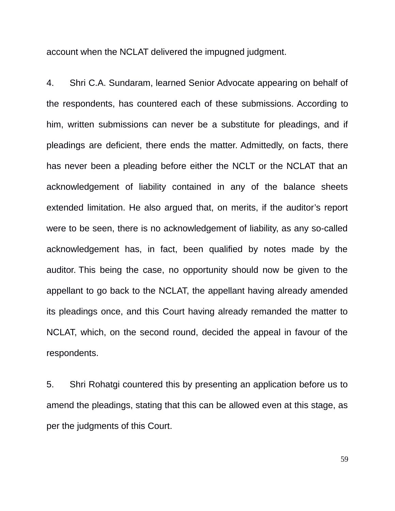account when the NCLAT delivered the impugned judgment.

4. Shri C.A. Sundaram, learned Senior Advocate appearing on behalf of the respondents, has countered each of these submissions. According to him, written submissions can never be a substitute for pleadings, and if pleadings are deficient, there ends the matter. Admittedly, on facts, there has never been a pleading before either the NCLT or the NCLAT that an acknowledgement of liability contained in any of the balance sheets extended limitation. He also argued that, on merits, if the auditor's report were to be seen, there is no acknowledgement of liability, as any so-called acknowledgement has, in fact, been qualified by notes made by the auditor. This being the case, no opportunity should now be given to the appellant to go back to the NCLAT, the appellant having already amended its pleadings once, and this Court having already remanded the matter to NCLAT, which, on the second round, decided the appeal in favour of the respondents.

5. Shri Rohatgi countered this by presenting an application before us to amend the pleadings, stating that this can be allowed even at this stage, as per the judgments of this Court.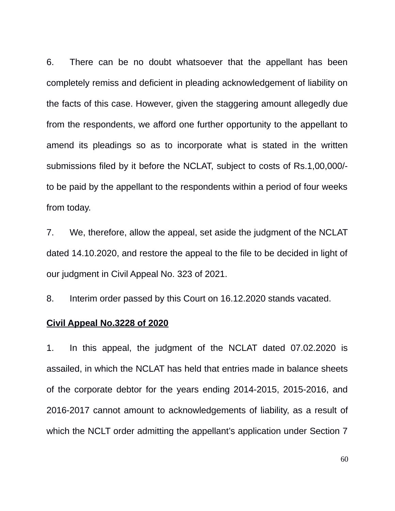6. There can be no doubt whatsoever that the appellant has been completely remiss and deficient in pleading acknowledgement of liability on the facts of this case. However, given the staggering amount allegedly due from the respondents, we afford one further opportunity to the appellant to amend its pleadings so as to incorporate what is stated in the written submissions filed by it before the NCLAT, subject to costs of Rs.1,00,000/ to be paid by the appellant to the respondents within a period of four weeks from today.

7. We, therefore, allow the appeal, set aside the judgment of the NCLAT dated 14.10.2020, and restore the appeal to the file to be decided in light of our judgment in Civil Appeal No. 323 of 2021.

8. Interim order passed by this Court on 16.12.2020 stands vacated.

#### **Civil Appeal No.3228 of 2020**

1. In this appeal, the judgment of the NCLAT dated 07.02.2020 is assailed, in which the NCLAT has held that entries made in balance sheets of the corporate debtor for the years ending 2014-2015, 2015-2016, and 2016-2017 cannot amount to acknowledgements of liability, as a result of which the NCLT order admitting the appellant's application under Section 7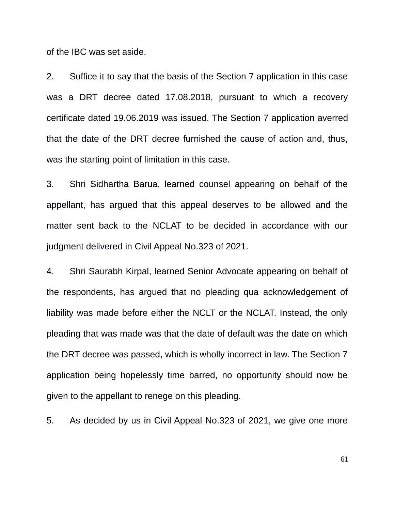of the IBC was set aside.

2. Suffice it to say that the basis of the Section 7 application in this case was a DRT decree dated 17.08.2018, pursuant to which a recovery certificate dated 19.06.2019 was issued. The Section 7 application averred that the date of the DRT decree furnished the cause of action and, thus, was the starting point of limitation in this case.

3. Shri Sidhartha Barua, learned counsel appearing on behalf of the appellant, has argued that this appeal deserves to be allowed and the matter sent back to the NCLAT to be decided in accordance with our judgment delivered in Civil Appeal No.323 of 2021.

4. Shri Saurabh Kirpal, learned Senior Advocate appearing on behalf of the respondents, has argued that no pleading qua acknowledgement of liability was made before either the NCLT or the NCLAT. Instead, the only pleading that was made was that the date of default was the date on which the DRT decree was passed, which is wholly incorrect in law. The Section 7 application being hopelessly time barred, no opportunity should now be given to the appellant to renege on this pleading.

5. As decided by us in Civil Appeal No.323 of 2021, we give one more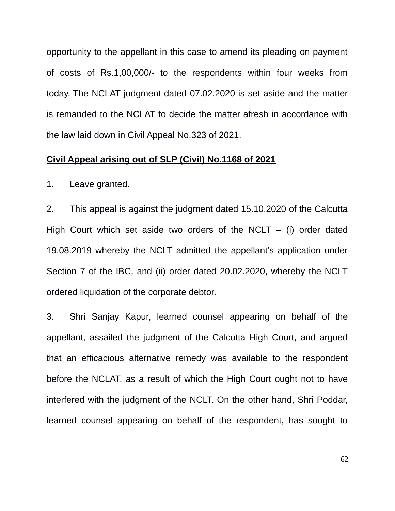opportunity to the appellant in this case to amend its pleading on payment of costs of Rs.1,00,000/- to the respondents within four weeks from today. The NCLAT judgment dated 07.02.2020 is set aside and the matter is remanded to the NCLAT to decide the matter afresh in accordance with the law laid down in Civil Appeal No.323 of 2021.

#### **Civil Appeal arising out of SLP (Civil) No.1168 of 2021**

1. Leave granted.

2. This appeal is against the judgment dated 15.10.2020 of the Calcutta High Court which set aside two orders of the NCLT  $-$  (i) order dated 19.08.2019 whereby the NCLT admitted the appellant's application under Section 7 of the IBC, and (ii) order dated 20.02.2020, whereby the NCLT ordered liquidation of the corporate debtor.

3. Shri Sanjay Kapur, learned counsel appearing on behalf of the appellant, assailed the judgment of the Calcutta High Court, and argued that an efficacious alternative remedy was available to the respondent before the NCLAT, as a result of which the High Court ought not to have interfered with the judgment of the NCLT. On the other hand, Shri Poddar, learned counsel appearing on behalf of the respondent, has sought to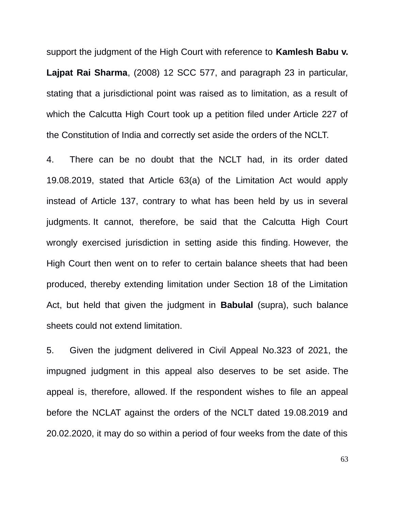support the judgment of the High Court with reference to **Kamlesh Babu v. Lajpat Rai Sharma**, (2008) 12 SCC 577, and paragraph 23 in particular, stating that a jurisdictional point was raised as to limitation, as a result of which the Calcutta High Court took up a petition filed under Article 227 of the Constitution of India and correctly set aside the orders of the NCLT.

4. There can be no doubt that the NCLT had, in its order dated 19.08.2019, stated that Article 63(a) of the Limitation Act would apply instead of Article 137, contrary to what has been held by us in several judgments. It cannot, therefore, be said that the Calcutta High Court wrongly exercised jurisdiction in setting aside this finding. However, the High Court then went on to refer to certain balance sheets that had been produced, thereby extending limitation under Section 18 of the Limitation Act, but held that given the judgment in **Babulal** (supra), such balance sheets could not extend limitation.

5. Given the judgment delivered in Civil Appeal No.323 of 2021, the impugned judgment in this appeal also deserves to be set aside. The appeal is, therefore, allowed. If the respondent wishes to file an appeal before the NCLAT against the orders of the NCLT dated 19.08.2019 and 20.02.2020, it may do so within a period of four weeks from the date of this